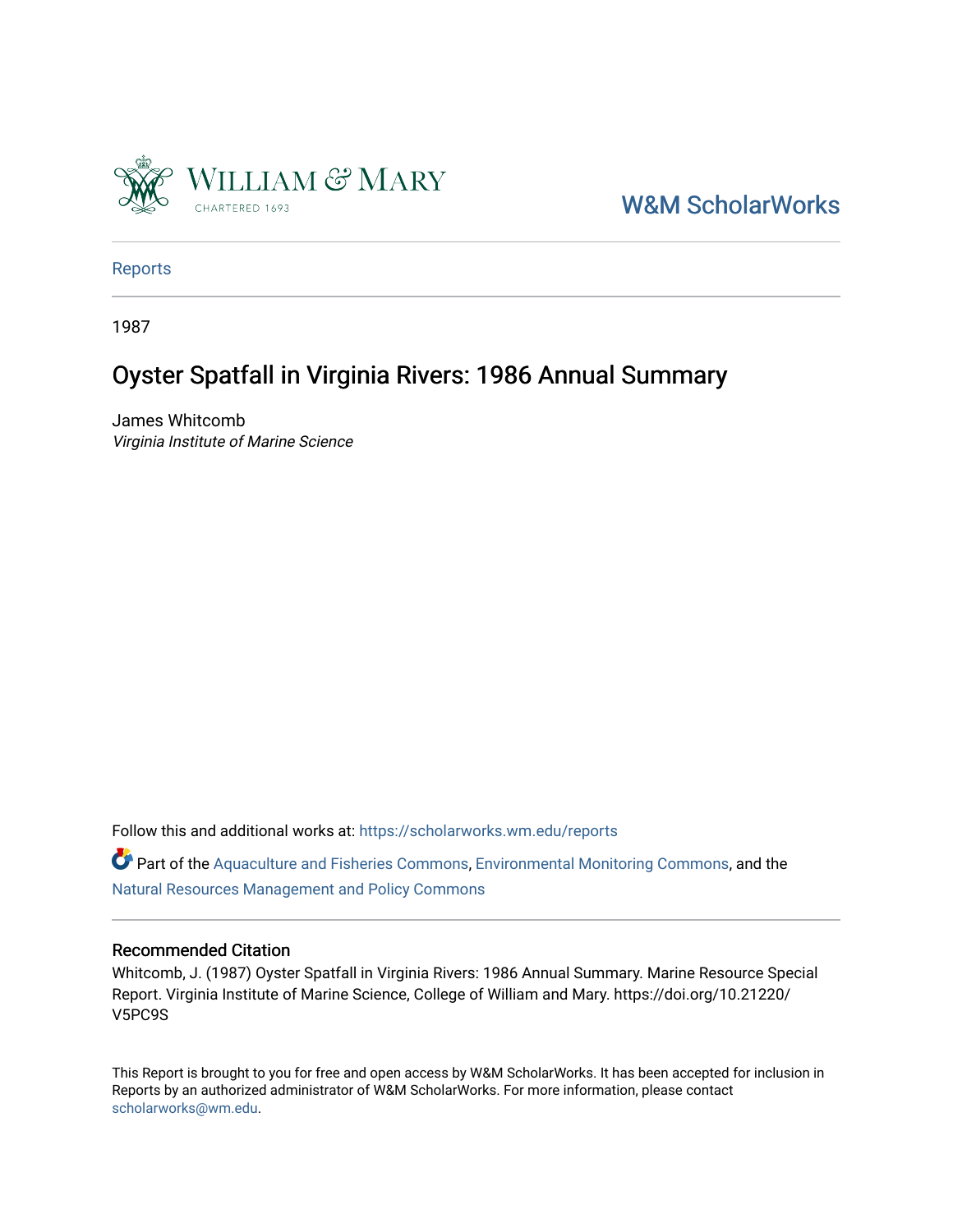

[W&M ScholarWorks](https://scholarworks.wm.edu/) 

[Reports](https://scholarworks.wm.edu/reports)

1987

# Oyster Spatfall in Virginia Rivers: 1986 Annual Summary

James Whitcomb Virginia Institute of Marine Science

Follow this and additional works at: [https://scholarworks.wm.edu/reports](https://scholarworks.wm.edu/reports?utm_source=scholarworks.wm.edu%2Freports%2F373&utm_medium=PDF&utm_campaign=PDFCoverPages)

Part of the [Aquaculture and Fisheries Commons](http://network.bepress.com/hgg/discipline/78?utm_source=scholarworks.wm.edu%2Freports%2F373&utm_medium=PDF&utm_campaign=PDFCoverPages), [Environmental Monitoring Commons,](http://network.bepress.com/hgg/discipline/931?utm_source=scholarworks.wm.edu%2Freports%2F373&utm_medium=PDF&utm_campaign=PDFCoverPages) and the [Natural Resources Management and Policy Commons](http://network.bepress.com/hgg/discipline/170?utm_source=scholarworks.wm.edu%2Freports%2F373&utm_medium=PDF&utm_campaign=PDFCoverPages) 

### Recommended Citation

Whitcomb, J. (1987) Oyster Spatfall in Virginia Rivers: 1986 Annual Summary. Marine Resource Special Report. Virginia Institute of Marine Science, College of William and Mary. https://doi.org/10.21220/ V5PC9S

This Report is brought to you for free and open access by W&M ScholarWorks. It has been accepted for inclusion in Reports by an authorized administrator of W&M ScholarWorks. For more information, please contact [scholarworks@wm.edu.](mailto:scholarworks@wm.edu)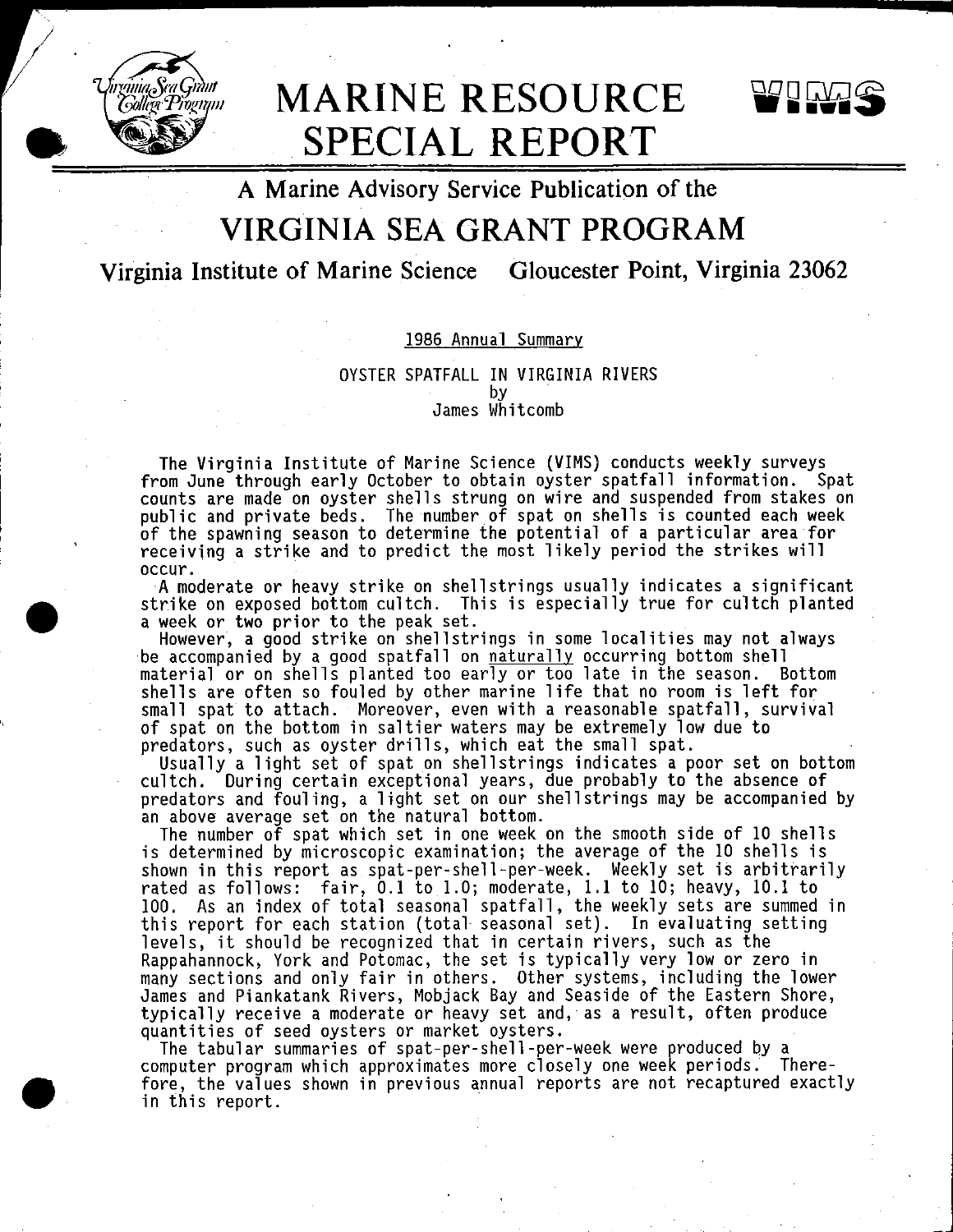

•

•

# **MARINE RESOURCE SPECIAL REPORT**



**A Marine Advisory Service Publication of the** 

# **VIRGINIA SEA GRANT PROGRAM**

**Virginia Institute of Marine Science Gloucester Point, Virginia 23062** 

# 1986 Annual Summary

### OYSTER SPATFALL IN VIRGINIA RIVERS by James Whitcomb

The Virginia Institute of Marine Science (VIMS) conducts weekly surveys from June through early October to obtain oyster spatfall information. Spat counts are made on oyster shells strung on wire and suspended from stakes on public and private beds. The number of spat on shells is counted each week of the spawning season to determine the potential of a particular area for receiving a strike and to predict the most likely period the strikes will

occur.<br>- A moderate or heavy strike on shellstrings usually indicates a significant strike on exposed bottom cultch. This is especially true for cultch planted a week or two prior to the peak set.<br>However, a good strike on shellstrings in some localities may not always

However, a good strike on shellstrings in some localities may not always<br>be accompanied by a good spatfall on <u>naturally</u> occurring bottom shell material or on shells planted too early or too late in the season. Bottom shells are often so fouled by other marine life that no room is left for small spat to attach. Moreover, even with a reasonable spatfall, survival of spat on the bottom in saltier waters may be extremely low due to<br>predators, such as oyster drills, which eat the small spat.

predators, such as oyster drills, which eat the small spat. Usually a light set of spat on shellstrings indicates **a** poor set on bottom cultch. During certain exceptional years, due probably to the absence of predators and fouling, a light set on our shell strings may be accompanied by an above average set on the natural bottom.

The number of spat which set in one week on the smooth side of 10 shells is determined by microscopic examination; the average of the 10 shells is<br>shown in this report as spat-per-shell-per-week. Weekly set is arbitrarily shown in this report as spat-per-shell-per-week. Weekly set is arbitrarily rated as follows: fair, 0.1 to 1.0; moderate, 1.1 to 10; heavy, 10.1 to 100. As an index of total seasonal spatfall, the weekly sets are summed in this report for each station (total· seasonal set). In evaluating setting levels, it should be recognized that in certain rivers, such as the Rappahannock, York and Potomac, the set is typically very low or zero in many sections and only fair in others. Other systems, including the lower James and Piankatank Rivers, Mobjack Bay and Seaside of the Eastern Shore, typically receive a moderate or heavy set and, as a result, often produce quantities of seed oysters or market oysters. The tabular summaries of spat-per-shell-per-week were produced by a

computer program which approximates more closely one week periods. Therefore, the values shown in previous annual reports are not recaptured exactly in this report.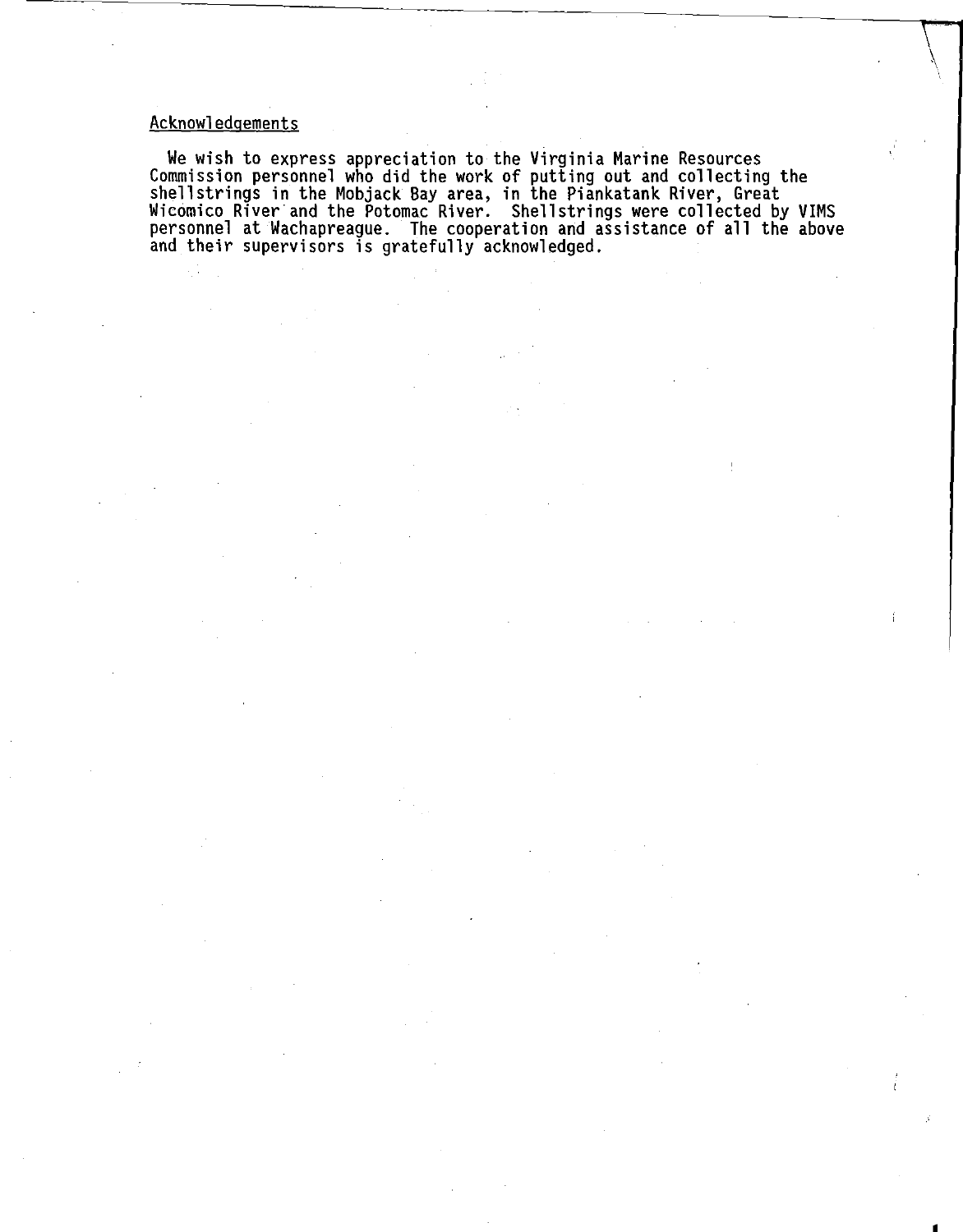# Acknowledgements

We wish to express appreciation to the Virginia Marine Resources Commission personnel who did the work of putting out and collecting the shellstrings in the Mobjack Bay area, in the Piankatank River, Great Wicomico River·and the Potomac River. Shellstrings were collected by VIMS personnel at Wachapreague. The cooperation and assistance of all the above and their supervisors is gratefully acknowledged.

 $\bigwedge$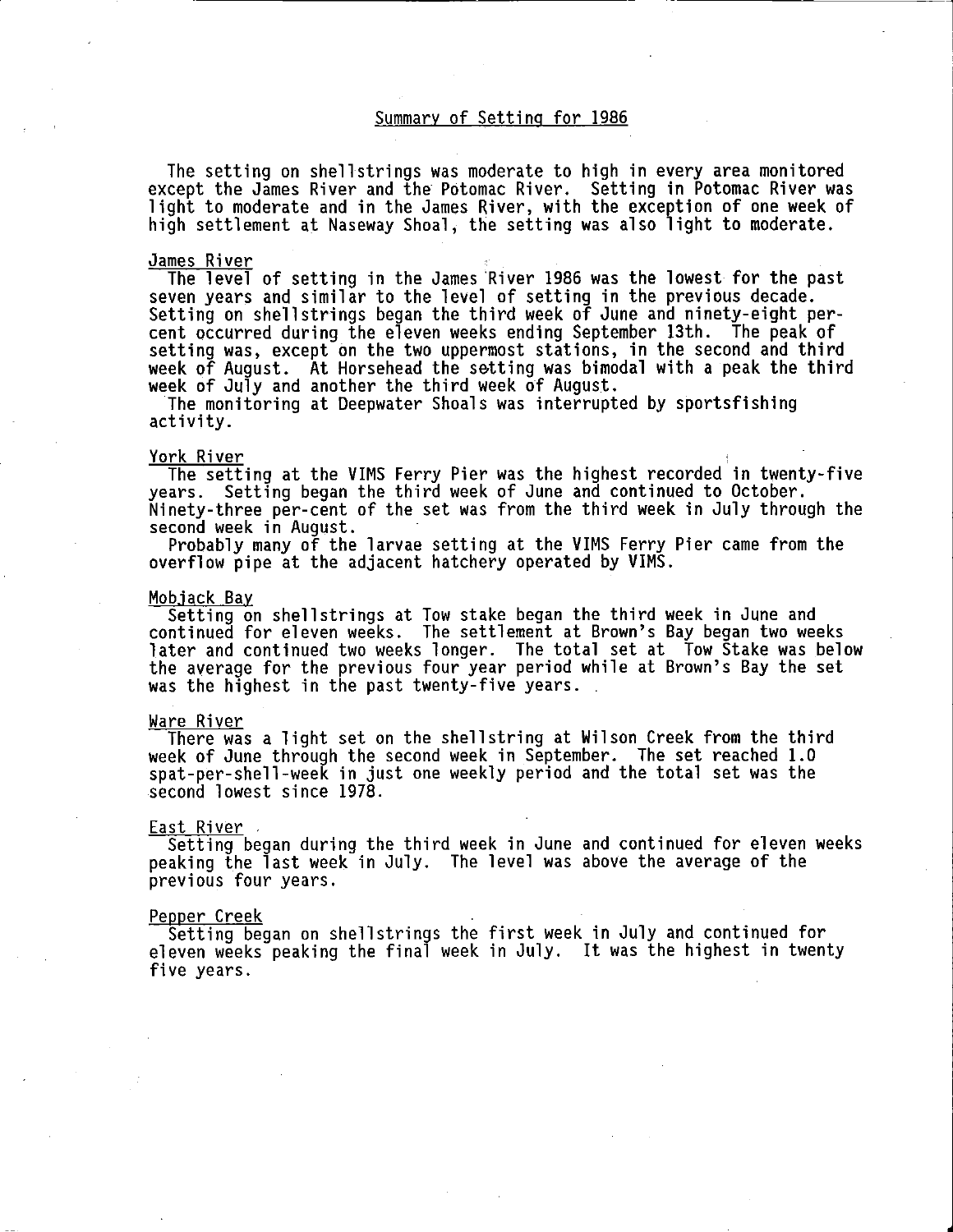### Summary of Setting for 1986

i

The setting on shellstrings was moderate to high in every area monitored except the James River and the Potomac River. Setting in Potomac River was light to moderate and in the James River, with the exception of one week of high settlement at Naseway Shoal, the setting was also light to moderate.

#### James River

The level of setting in the James 'River 1986 was the lowest for the past seven years and similar to the level of setting in the previous decade. Setting on shellstrings began the third week of June and ninety-eight percent occurred during the eleven weeks ending September 13th. The peak of setting was, except on the two uppermost stations, in the second and third week of August. At Horsehead the setting was bimodal with a peak the third<br>week of July and another the third week of August.

The monitoring at Deepwater Shoals was interrupted by sportsfishing activity.

#### York River

The setting at the VIMS Ferry Pier was the highest recorded in twenty-five years. Setting began the third week of June and continued to October. Ninety-three per-cent of the set was from the third week in July through the<br>second week in August.

Probably many of the larvae setting at the VIMS Ferry Pier came from the overflow pipe at the adjacent hatchery operated by VIMS.

<u>Mobjack Bay</u><br>Setting on shellstrings at Tow stake began the third week in June and continued for eleven weeks. The settlement at Brown's Bay began two weeks later and continued two weeks longer. The total set at Tow Stake was below the average for the previous four year period while at Brown's Bay the set was the highest in the past twenty-five years.

#### Ware River

There was a light set on the shellstring at Wilson Creek from the third week of June through the second week in September. The set reached 1.0 spat-per-shell-week in just one weekly period and the total set was the second lowest since 1978.

#### East River

Setting began during the third week in June and continued for eleven weeks peaking the last week in July. The level was above the average of the previous four years.

#### Pepper Creek

Setting began on shellstrings the first week in July and continued for eleven weeks peaking the final week in July. It was the highest in twenty five years.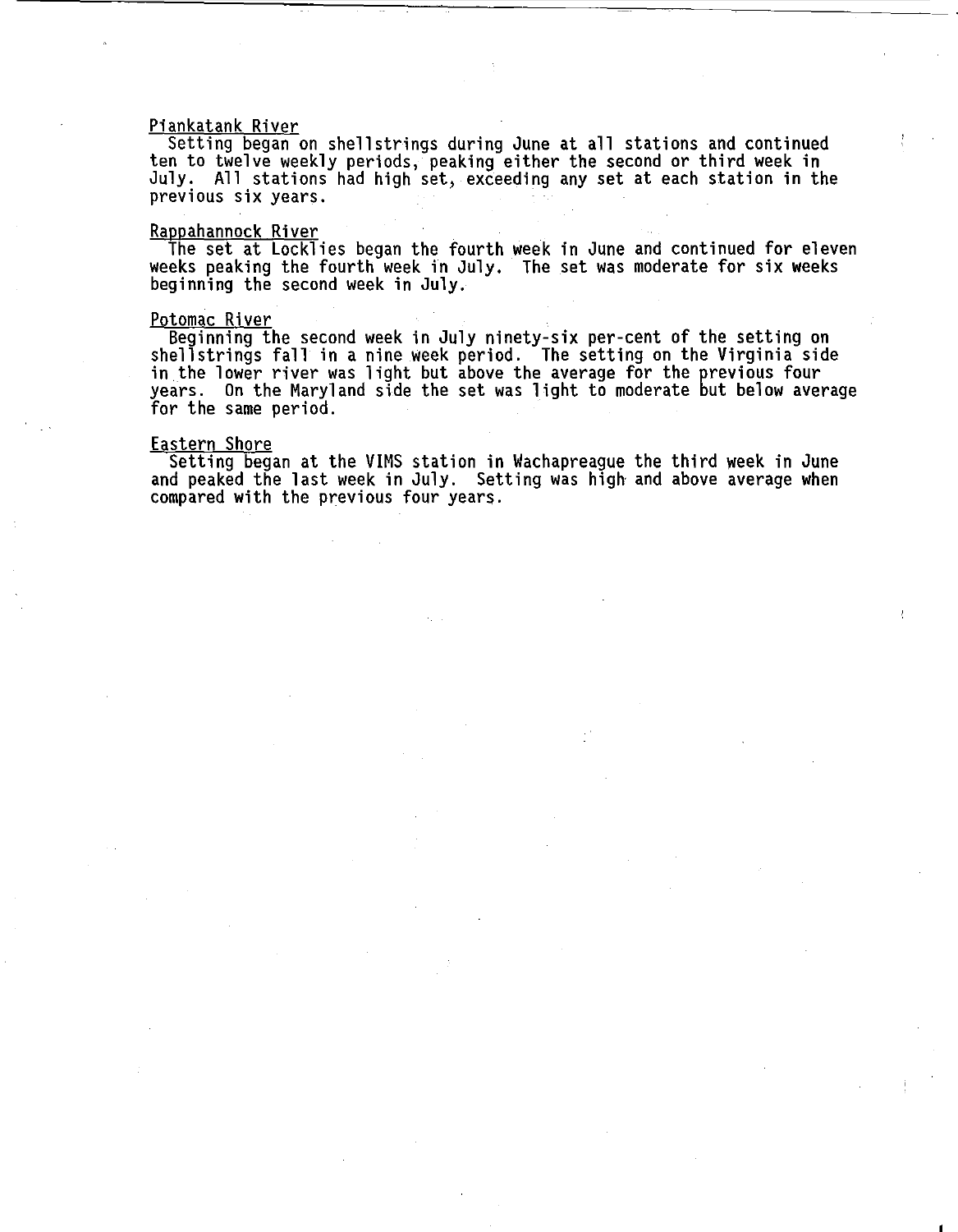#### Piankatank River

Setting began on shellstrings during June at all stations and continued ten to twelve weekly periods, peaking either the second or third week in July. All stations had high set, exceeding any set at each station in the previous six years.

#### Rappahannock River

The set at Locklies began the fourth week in June and continued for eleven weeks peaking the fourth week in July. The set was moderate for six weeks beginning the second week in July.

#### Potomac River

Beginning the second week in July ninety-six per-cent of the setting on shellstrings fall in a nine week period. The setting on the Virginia side in the lower river was light but above the average for the previous four years. On the Maryland side the set was light to moderate but below average for the same period.

#### Eastern Shore

Setting began at the VIMS station in Wachapreague the third week in June and peaked the last week in July. Setting was high· and above average when compared with the previous four years.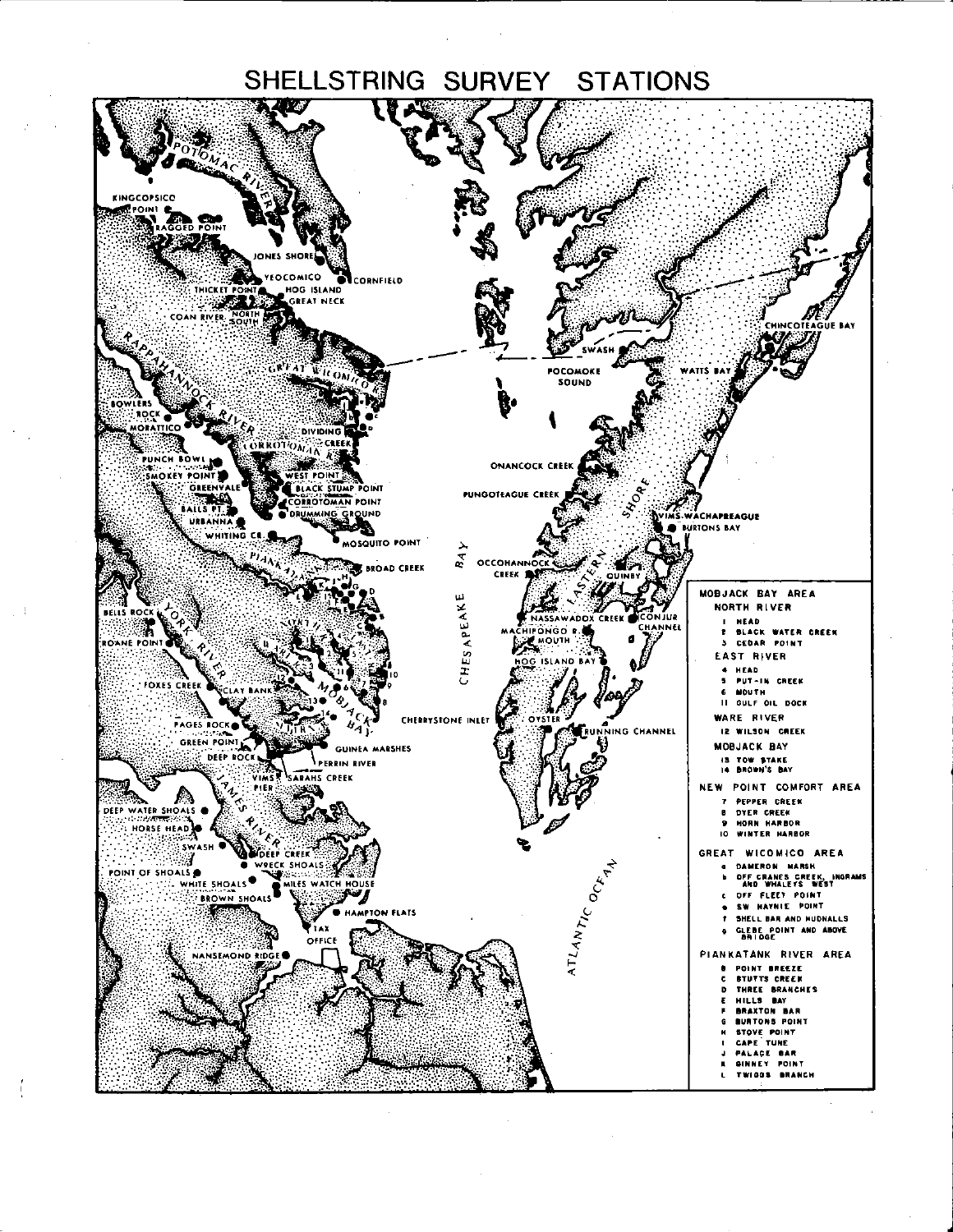# SHELLSTRING SURVEY STATIONS



ť

 $\pm$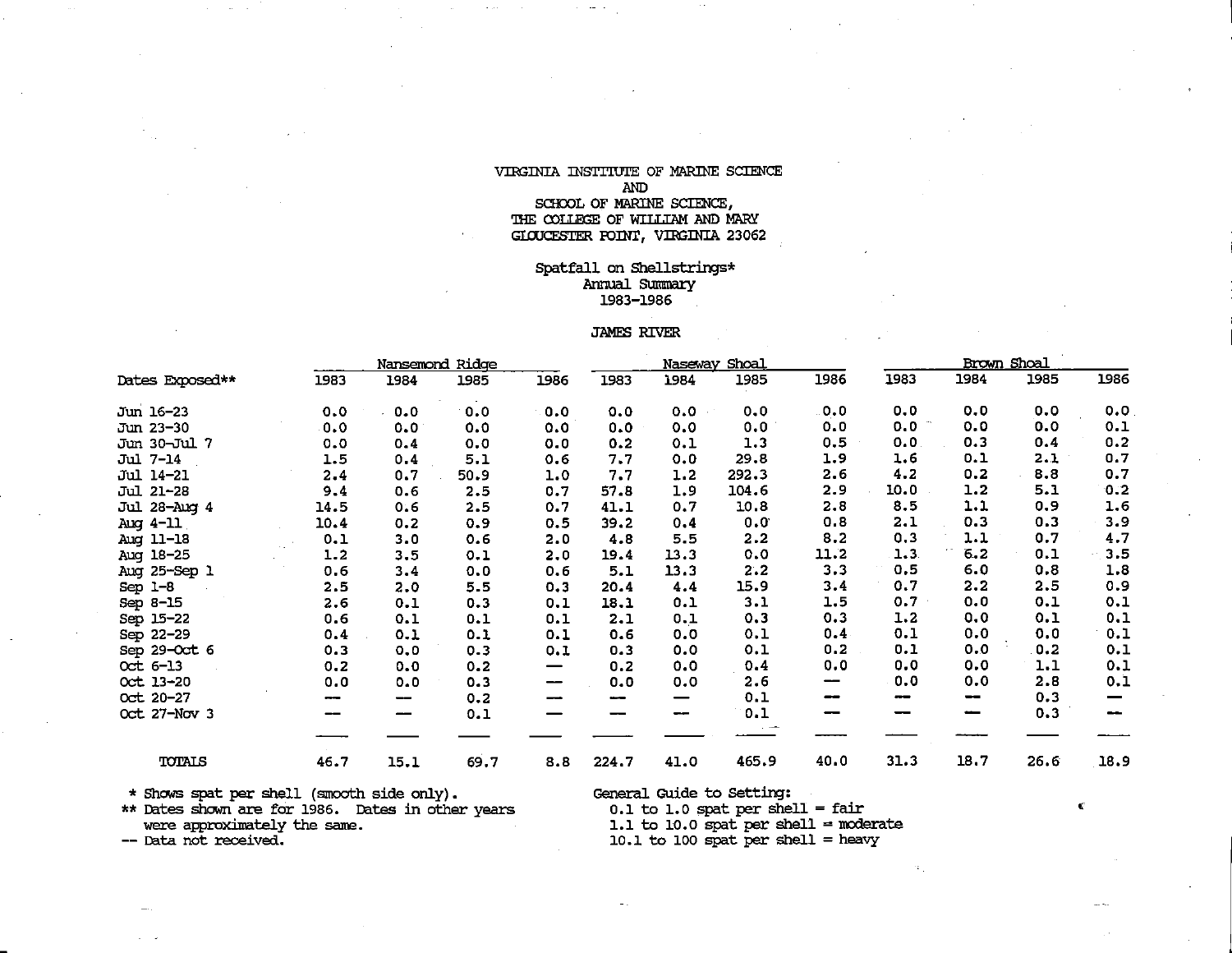### VIRGINIA INSTITUTE OF MARINE SCIENCE AND

#### SCHOOL OF MARINE SCIENCE, THE COLLEGE OF WILLIAM AND MARY GIOUCESTER POINT, VIRGINIA 23062

#### Spatfall on Shellstrings\* Annual Summary 1983-1986

#### JAMES RIVER

|                 |      |      | Nansemond Ridge |      |       | Naseway | <u>Shoal</u> |       |      |      | Brown Shoal |        |
|-----------------|------|------|-----------------|------|-------|---------|--------------|-------|------|------|-------------|--------|
| Dates Exposed** | 1983 | 1984 | 1985            | 1986 | 1983  | 1984    | 1985         | 1986  | 1983 | 1984 | 1985        | 1986   |
| Jun 16-23       | 0.0  | 0.0  | 0.0             | 0.0  | 0.0   | 0.0     | 0.0          | . 0.0 | 0.0  | 0.0  | 0.0         | 0.0    |
| Jun 23-30       | 0.0  | 0.0  | 0.0             | 0.0  | 0.0   | 0.0     | 0.0          | 0.0   | 0.0  | 0.0  | 0.0         | 0.1    |
| Jun 30-Jul 7    | 0.0  | 0.4  | 0.0             | 0.0  | 0.2   | 0.1     | 1.3          | 0.5   | 0.0  | 0.3  | 0.4         | 0.2    |
| Jul 7-14        | 1.5  | 0.4  | 5.1             | 0.6  | 7.7   | 0.0     | 29.8         | 1.9   | 1.6  | 0.1  | 2.1         | 0.7    |
| Jul 14-21       | 2.4  | 0.7  | 50.9            | 1.0  | 7.7   | 1.2     | 292.3        | 2.6   | 4.2  | 0.2  | 8.8         | 0.7    |
| Jul 21-28       | 9.4  | 0.6  | 2.5             | 0.7  | 57.8  | 1.9     | 104.6        | 2.9   | 10.0 | 1.2  | 5.1         | 0.2    |
| Jul 28-Aug 4    | 14.5 | 0.6  | 2.5             | 0.7  | 41.1  | 0.7     | 10.8         | 2.8   | 8.5  | 1.1  | 0.9         | 1.6    |
| Aug 4-11        | 10.4 | 0.2  | 0.9             | 0.5  | 39.2  | 0.4     | 0.0          | 0.8   | 2.1  | 0.3  | 0.3         | 3.9    |
| Aug 11-18       | 0.1  | 3.0  | 0.6             | 2.0  | 4.8   | 5.5     | 2.2          | 8.2   | 0.3  | 1.1  | 0.7         | 4.7    |
| Aug 18-25       | 1.2  | 3.5  | 0.1             | 2.0  | 19.4  | 13.3    | 0.0          | 11.2  | 1.3  | 6.2  | 0.1         | 3.5    |
| Aug 25-Sep 1    | 0.6  | 3.4  | 0.0             | 0.6  | 5.1   | 13.3    | 2.2          | 3.3   | 0.5  | 6.0  | 0.8         | 1.8    |
| Sep $1-8$       | 2.5  | 2.0  | 5.5             | 0.3  | 20.4  | 4.4     | 15.9         | 3.4   | 0.7  | 2.2  | 2.5         | 0.9    |
| Sep 8-15        | 2.6  | 0.1  | 0.3             | 0.1  | 18.1  | 0.1     | 3.1          | 1.5   | 0.7  | 0.0  | 0.1         | 0.1    |
| Sep 15-22       | 0.6  | 0.1  | 0.1             | 0.1  | 2.1   | 0.1     | 0.3          | 0.3   | 1.2  | 0.0  | 0.1         | 0.1    |
| Sep 22-29       | 0.4  | 0.1  | 0.1             | 0.1  | 0.6   | 0.0     | 0.1          | 0.4   | 0.1  | 0.0  | 0.0         | 0.1    |
| Sep 29-Oct 6    | 0.3  | 0.0  | 0.3             | 0.1  | 0.3   | 0.0     | 0.1          | 0.2   | 0.1  | 0.0  | 0.2         | 0.1    |
| $Oct 6-13$      | 0.2  | 0.0  | 0.2             | —    | 0.2   | 0.0     | 0.4          | 0.0   | 0.0  | 0.0  | 1.1         | 0.1    |
| Oct 13-20       | 0.0  | 0.0  | 0.3             | --   | 0.0   | 0.0     | 2.6          | --    | 0.0  | 0.0  | 2.8         | 0.1    |
| Oct 20-27       | --   | --   | 0.2             | --   | --    |         | 0.1          | --    | --   | --   | 0.3         |        |
| Oct 27-Nov 3    |      | --   | 0.1             |      |       | --      | 0.1          |       |      | --   | 0.3         | $\sim$ |
|                 |      |      |                 |      |       |         |              |       |      |      |             |        |
| <b>TOTALS</b>   | 46.7 | 15.1 | 69.7            | 8.8  | 224.7 | 41.0    | 465.9        | 40.0  | 31.3 | 18.7 | 26.6        | 18.9   |

\* Shoos spat per shell (smooth side only). General Guide to setting: \*\* Dates shown are for 1986. Dates in other years o.1 to 1.0 spat per shell = fair ... were approximately the same. 1.1 to 10.0 spat per shell = moderate

-- Data not received.<br>-- Data not received. 10.1 to 100 spat per shell = heavy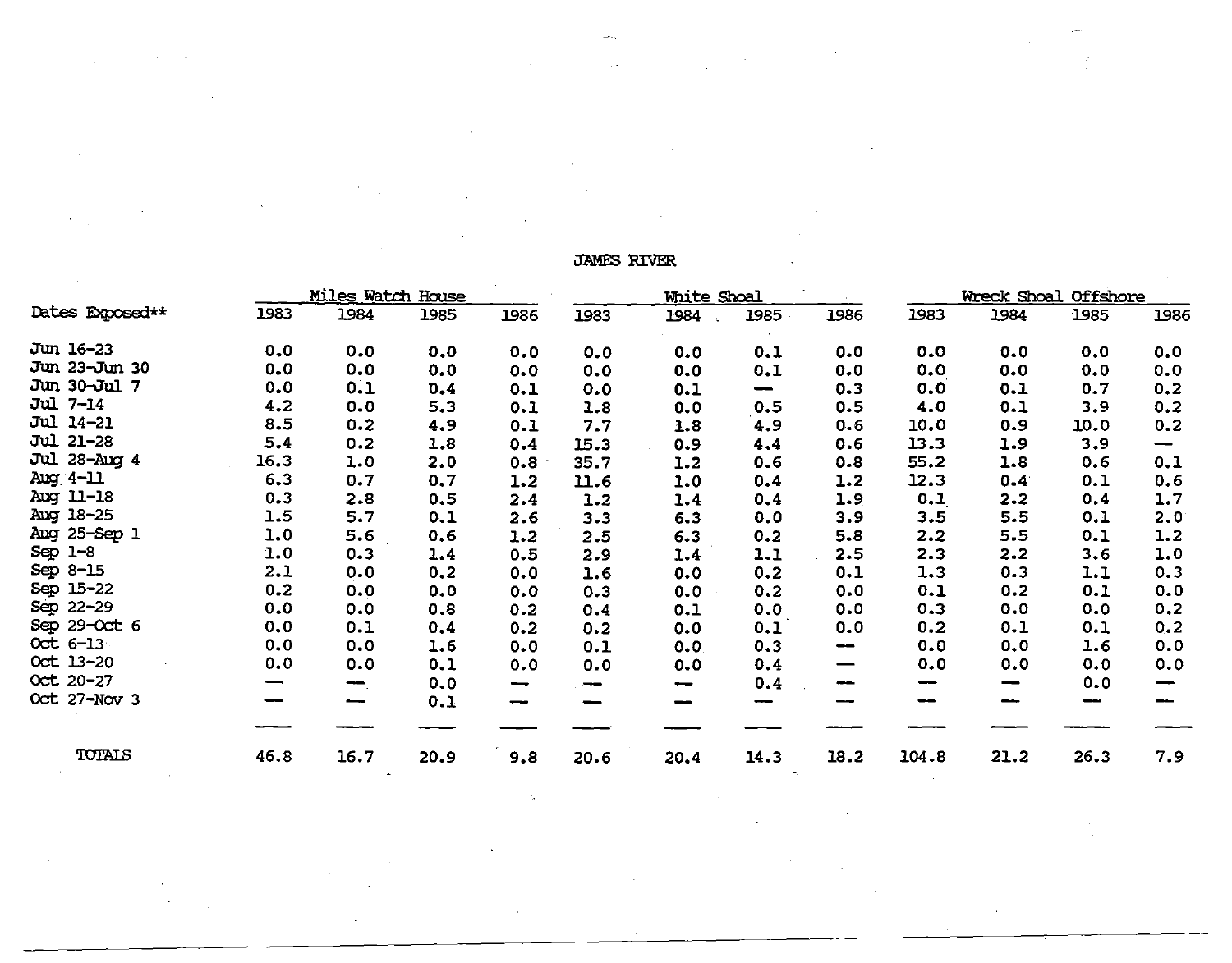|                  |                          | <u>Miles Watch House</u>     |      |                 |      | <b>White Shoal</b>       |                                |                                |       |                          | Wreck Shoal Offshore |      |
|------------------|--------------------------|------------------------------|------|-----------------|------|--------------------------|--------------------------------|--------------------------------|-------|--------------------------|----------------------|------|
| Dates Exposed**  | 1983                     | 1984                         | 1985 | 1986            | 1983 | 1984                     | 1985                           | 1986                           | 1983  | 1984                     | 1985                 | 1986 |
| Jun 16-23        | 0.0                      | 0.0                          | 0.0  | 0.0             | 0.0  | 0.0                      | 0.1                            | 0.0                            | 0.0   | 0.0                      | 0.0                  | 0.0  |
| Jun 23-Jun 30    | 0.0                      | 0.0                          | 0.0  | 0.0             | 0.0  | 0.0                      | 0.1                            | 0.0                            | 0.0   | 0.0                      | 0.0                  | 0.0  |
| Jun 30-Jul 7     | 0.0                      | 0.1                          | 0.4  | 0.1             | 0.0  | 0.1                      | $\qquad \qquad \longleftarrow$ | 0.3                            | 0.0   | 0.1                      | 0.7                  | 0.2  |
| Jul 7-14         | 4.2                      | 0.0                          | 5.3  | 0.1             | 1.8  | 0.0                      | 0.5                            | 0.5                            | 4.0   | 0.1                      | 3.9                  | 0.2  |
| <b>Jul 14-21</b> | 8.5                      | 0.2                          | 4.9  | 0.1             | 7.7  | 1.8                      | 4.9                            | 0.6                            | 10.0  | 0.9                      | 10.0                 | 0.2  |
| <b>Jul 21-28</b> | 5.4                      | 0.2                          | 1.8  | 0.4             | 15.3 | 0.9                      | 4.4                            | 0.6                            | 13.3  | 1.9                      | 3.9                  | --   |
| Jul 28-Aug 4     | 16.3                     | 1.0                          | 2.0  | 0.8             | 35.7 | 1.2                      | 0.6                            | 0.8                            | 55.2  | 1.8                      | 0.6                  | 0.1  |
| Aug 4-11         | 6.3                      | 0.7                          | 0,7  | 1.2             | 11.6 | 1.0                      | 0.4                            | 1.2                            | 12.3  | 0.4                      | 0.1                  | 0.6  |
| Aug 11-18        | 0.3                      | 2.8                          | 0.5  | 2.4             | 1.2  | 1.4                      | 0.4                            | 1.9                            | 0.1   | 2.2                      | 0.4                  | 1.7  |
| Aug 18-25        | 1.5                      | 5.7                          | 0.1  | 2.6             | 3.3  | 6.3                      | 0.0                            | 3.9                            | 3.5   | 5.5                      | 0.1                  | 2.0  |
| Aug 25-Sep 1     | 1.0                      | 5.6                          | 0.6  | 1.2             | 2.5  | 6.3                      | 0.2                            | 5.8                            | 2.2   | 5.5                      | 0.1                  | 1.2  |
| Sep $1-8$        | 1.0                      | 0.3                          | 1.4  | 0.5             | 2.9  | 1.4                      | 1.1                            | 2.5                            | 2.3   | 2.2                      | 3.6                  | 1.0  |
| Sep 8-15         | 2.1                      | 0.0                          | 0,2  | 0.0             | 1.6  | 0.0                      | 0.2                            | 0.1                            | 1.3   | 0.3                      | 1.1                  | 0.3  |
| Sep 15-22        | 0.2                      | 0.0                          | 0.0  | 0.0             | 0.3  | 0.0                      | 0.2                            | 0.0                            | 0.1   | 0.2                      | 0.1                  | 0.0  |
| Sep 22-29        | 0.0                      | 0.0                          | 0.8  | 0.2             | 0.4  | 0.1                      | 0.0                            | 0.0                            | 0.3   | 0.0                      | 0.0                  | 0,2  |
| Sep 29-Oct 6     | 0, 0                     | 0.1                          | 0.4  | 0.2             | 0.2  | 0.0                      | 0.1                            | 0.0                            | 0.2   | 0.1                      | 0.1                  | 0.2  |
| Oct 6-13         | 0.0                      | 0.0                          | 1.6  | 0.0             | 0.1  | 0.0                      | 0.3                            | $\qquad \qquad \longleftarrow$ | 0.0   | 0.0                      | 1.6                  | 0.0  |
| Oct 13-20        | 0.0                      | 0.0                          | 0.1  | 0.0             | 0.0  | 0.0                      | 0.4                            | $\hspace{0.05cm}$              | 0.0   | 0.0                      | 0.0                  | 0.0  |
| Oct 20-27        | $\overline{\phantom{0}}$ | $\qquad \qquad \blacksquare$ | 0.0  | $\qquad \qquad$ | --   | $\overline{\phantom{a}}$ | 0.4                            | $-$                            | --    | $\overline{\phantom{a}}$ | 0.0                  |      |
| Oct 27-Nov 3     |                          | $\overline{\phantom{m}}$ .   | 0.1  |                 | -    |                          |                                |                                |       |                          |                      |      |
|                  |                          |                              |      |                 |      |                          |                                |                                |       |                          |                      |      |
| TOTALS           | 46.8                     | 16.7                         | 20.9 | 9.8             | 20.6 | 20.4                     | 14.3                           | 18.2                           | 104.8 | 21.2                     | 26.3                 | 7.9  |

JAMES RIVER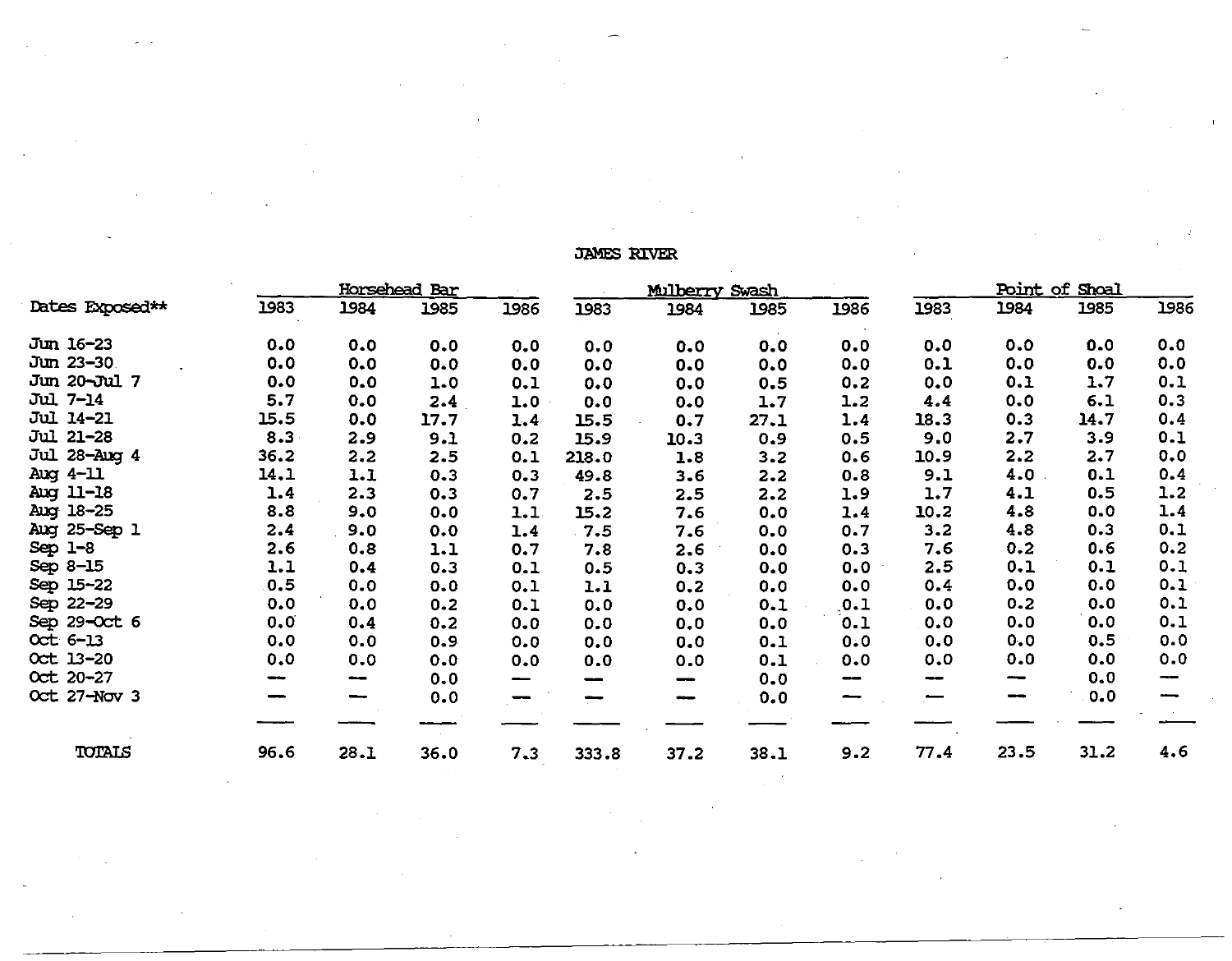# **JAMES RIVER**

|                  |      |                          | Horsehead Bar |                                 |       | Mulberry Swash           |      |      |                          |      | Point of Shoal |      |
|------------------|------|--------------------------|---------------|---------------------------------|-------|--------------------------|------|------|--------------------------|------|----------------|------|
| Dates Exposed**  | 1983 | 1984                     | 1985          | 1986                            | 1983  | 1984                     | 1985 | 1986 | 1983                     | 1984 | 1985           | 1986 |
| Jun 16-23        | 0.0  | 0.0                      | 0.0           | 0.0                             | 0.0   | 0.0                      | 0.0  | 0.0  | 0.0                      | 0.0  | 0.0            | 0.0  |
| Jun 23-30        | 0.0  | 0.0                      | 0.0           | 0.0                             | 0.0   | 0.0                      | 0.0  | 0.0  | 0.1                      | 0.0  | 0.0            | 0.0  |
| Jun 20-Jul 7     | 0.0  | 0.0                      | 1.0           | 0.1                             | 0.0   | 0.0                      | 0.5  | 0.2  | 0.0                      | 0.1  | 1.7            | 0.1  |
| Jul 7-14         | 5.7  | 0.0                      | 2.4           | 1.0                             | 0.0   | 0.0                      | 1.7  | 1.2  | 4.4                      | 0.0  | 6.1            | 0.3  |
| <b>Jul 14-21</b> | 15.5 | 0.0                      | 17.7          | 1.4                             | 15.5  | 0.7                      | 27.1 | 1.4  | 18.3                     | 0.3  | 14.7           | 0.4  |
| Jul 21-28        | 8.3  | 2.9                      | 9.1           | 0.2                             | 15.9  | 10.3                     | 0.9  | 0.5  | 9.0                      | 2.7  | 3.9            | 0.1  |
| Jul 28-Aug 4     | 36.2 | 2.2                      | 2.5           | 0.1                             | 218.0 | 1.8                      | 3.2  | 0.6  | 10.9                     | 2.2  | 2.7            | 0.0  |
| Aug 4-11         | 14.1 | 1.1                      | 0.3           | 0.3                             | 49.8  | 3.6                      | 2.2  | 0.8  | 9.1                      | 4.0  | 0.1            | 0.4  |
| Aug 11-18        | 1.4  | 2.3                      | 0.3           | 0.7                             | 2.5   | 2.5                      | 2.2  | 1.9  | 1.7                      | 4.1  | 0.5            | 1.2  |
| Aug 18-25        | 8.8  | 9.0                      | 0.0           | 1.1                             | 15.2  | 7.6                      | 0.0  | 1.4  | 10.2                     | 4.8  | 0.0            | 1.4  |
| Aug 25-Sep 1     | 2.4  | 9.0                      | 0.0           | 1.4                             | 7.5   | 7.6                      | 0.0  | 0.7  | 3.2                      | 4.8  | 0.3            | 0.1  |
| $Sep 1-8$        | 2.6  | 0.8                      | 1.1           | 0.7                             | 7.8   | 2.6                      | 0.0  | 0.3  | 7.6                      | 0.2  | 0.6            | 0.2  |
| Sep 8-15         | 1.1  | 0.4                      | 0.3           | 0.1                             | 0.5   | 0.3                      | 0.0  | 0.0  | 2.5                      | 0.1  | 0.1            | 0.1  |
| Sep 15-22        | 0.5  | 0.0                      | 0.0           | 0.1                             | 1.1   | 0.2                      | 0.0  | 0.0  | 0.4                      | 0.0  | 0.0            | 0.1  |
| Sep 22-29        | 0.0  | 0.0                      | 0.2           | 0.1                             | 0.0   | 0.0                      | 0.1  | 0.1  | 0, 0                     | 0.2  | 0.0            | 0.1  |
| Sep 29-Oct 6     | 0.0  | 0.4                      | 0.2           | 0.0                             | 0.0   | 0.0                      | 0.0  | 0.1  | 0.0                      | 0.0  | 0.0            | 0.1  |
| Oct 6-13         | 0.0  | 0.0                      | 0.9           | 0.0                             | 0.0   | 0.0                      | 0.1  | 0.0  | 0.0                      | 0.0  | 0.5            | 0.0  |
| Oct 13-20        | 0.0  | 0.0                      | 0.0           | 0.0                             | 0.0   | 0.0                      | 0.1  | 0.0  | 0.0                      | 0.0  | 0.0            | 0.0  |
| Oct 20-27        | --   | $\overline{\phantom{a}}$ | 0.0           | $\qquad \qquad \longrightarrow$ | --    | --                       | 0.0  | --   | $\overline{\phantom{m}}$ | --   | 0.0            | --   |
| Oct 27-Nov 3     |      | -                        | 0.0           |                                 |       | $\overline{\phantom{a}}$ | 0.0  | -    |                          | --   | 0.0            |      |
|                  |      |                          |               |                                 |       |                          |      |      |                          |      |                |      |
| TOTALS           | 96.6 | 28.1                     | 36.0          | 7.3                             | 333.8 | 37.2                     | 38.1 | 9.2  | 77.4                     | 23.5 | 31.2           | 4.6  |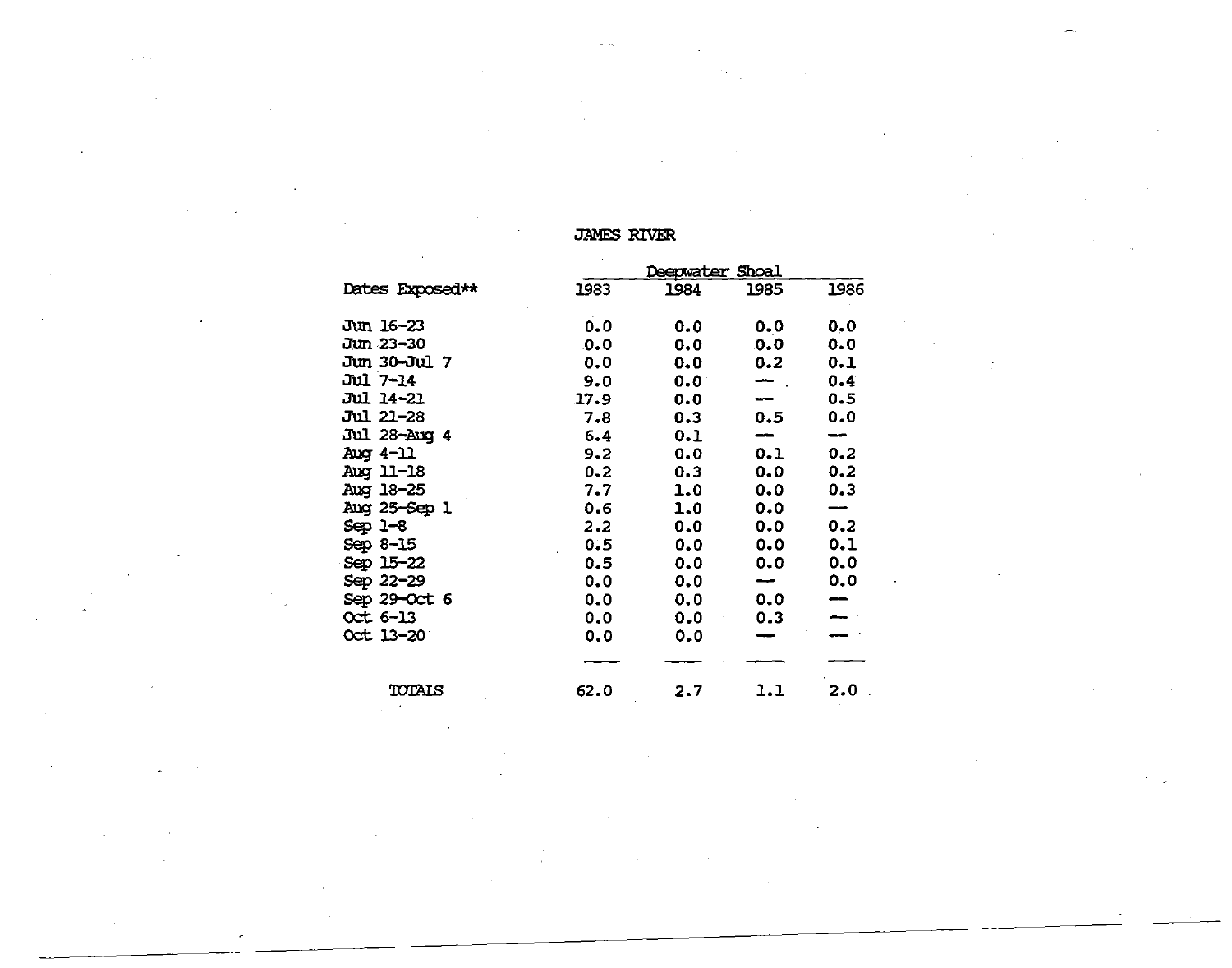# JAMES RIVER

|                 |         | Deepwater Shoal |                          |      |
|-----------------|---------|-----------------|--------------------------|------|
| Dates Exposed** | 1983    | 1984            | 1985                     | 1986 |
| Jun 16-23       | 0.0     | 0.0             | 0.0                      | 0, 0 |
| Jun 23-30       | 0.0     | 0.0             | 0.0                      | 0.0  |
| Jun 30-Jul 7    | 0.0     | 0.0             | 0.2                      | 0.1  |
| Jul 7-14        | 9.0     | $0.0^\circ$     | $\overline{\phantom{a}}$ | 0.4  |
| Jul 14-21       | 17.9    | 0.0             |                          | 0.5  |
| Jul 21–28       | 7.8     | 0.3             | 0.5                      | 0.0  |
| Jul 28-Aug 4    | 6.4     | 0.1             |                          |      |
| Aug 4-11        | 9.2     | 0.0             | 0.1                      | 0.2  |
| Aug 11-18       | $0 - 2$ | 0.3             | 0.0                      | 0.2  |
| Aug 18-25       | 7.7     | 1.0             | 0.0                      | 0.3  |
| Aug 25-Sep 1    | 0.6     | 1.0             | 0.0                      | --   |
| Sep 1-8         | 2.2     | 0.0             | 0.0                      | 0,2  |
| Sep 8-15        | 0.5     | 0.0             | 0.0                      | 0.1  |
| Sep 15-22       | 0.5     | 0.0             | 0.0                      | 0.0  |
| Sep 22-29       | 0.0     | 0.0             | ÷                        | 0.0  |
| Sep 29-Oct 6    | 0.0     | 0.0             | 0.0                      |      |
| $Oct 6-13$      | 0,0     | 0.0             | 0.3                      |      |
| Oct 13-20       | 0.0     | 0.0             |                          |      |
|                 |         |                 |                          |      |
| TOTALS          | 62.0    | 2.7             | 1.1                      | 2.0  |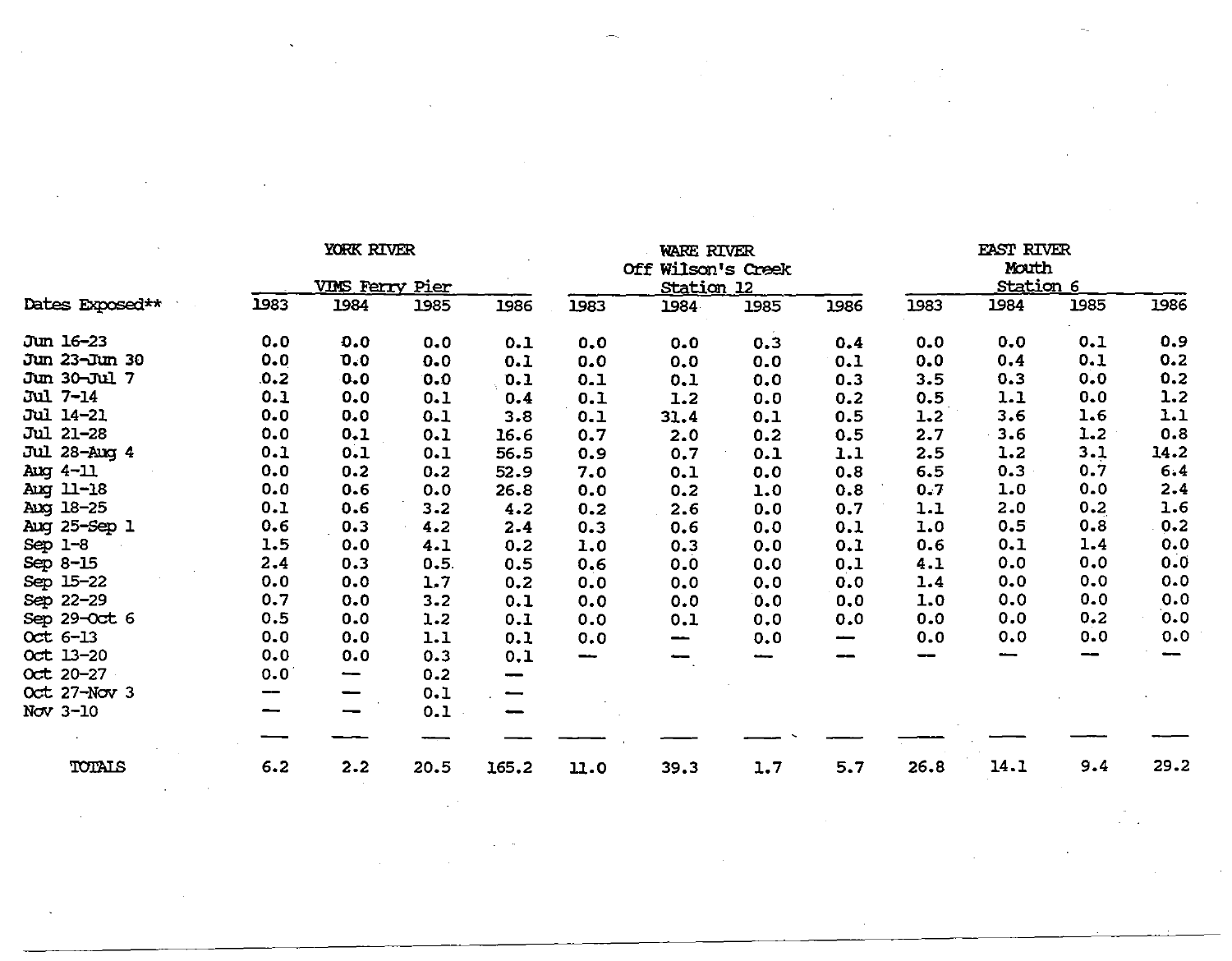|                  | YORK RIVER<br><b>VIMS Ferry Pier</b><br>1983<br>1984 |         | WARE RIVER<br>Off Wilson's Creek<br><u>Station 12</u> |       |      |      |      | <b>EAST RIVER</b><br>Mouth<br>Station 6 |      |      |      |      |
|------------------|------------------------------------------------------|---------|-------------------------------------------------------|-------|------|------|------|-----------------------------------------|------|------|------|------|
| Dates Exposed**  |                                                      |         | 1985                                                  | 1986  | 1983 | 1984 | 1985 | 1986                                    | 1983 | 1984 | 1985 | 1986 |
| Jun 16-23        | 0.0                                                  | 0.0     | 0.0                                                   | 0.1   | 0.0  | 0.0  | 0.3  | 0.4                                     | 0.0  | 0.0  | 0.1  | 0.9  |
| Jun 23-Jun 30    | 0.0                                                  | 0.0     | 0.0                                                   | 0.1   | 0.0  | 0.0  | 0.0  | 0.1                                     | 0.0  | 0.4  | 0.1  | 0.2  |
| Jun 30-Jul 7     | .0.2                                                 | 0.0     | 0.0                                                   | 0.1   | 0.1  | 0.1  | 0.0  | 0.3                                     | 3.5  | 0.3  | 0.0  | 0.2  |
| Jul 7-14         | 0.1                                                  | 0.0     | 0.1                                                   | 0.4   | 0.1  | 1.2  | 0.0  | 0.2                                     | 0.5  | 1.1  | 0.0  | 1.2  |
| <b>Jul 14-21</b> | 0.0                                                  | 0.0     | 0.1                                                   | 3.8   | 0.1  | 31.4 | 0.1  | 0.5                                     | 1.2  | 3.6  | 1.6  | 1.1  |
| Jul 21-28        | 0.0                                                  | 0.1     | 0.1                                                   | 16.6  | 0.7  | 2.0  | 0.2  | 0.5                                     | 2.7  | 3.6  | 1.2  | 0.8  |
| Jul 28-Aug 4     | 0.1                                                  | 0.1     | 0.1                                                   | 56.5  | 0.9  | 0.7  | 0.1  | 1.1                                     | 2.5  | 1.2  | 3.1  | 14.2 |
| Aug 4-11         | 0.0                                                  | 0.2     | 0.2                                                   | 52.9  | 7.0  | 0.1  | 0.0  | 0.8                                     | 6.5  | 0.3  | 0.7  | 6.4  |
| Aug 11-18        | 0.0                                                  | 0.6     | 0.0                                                   | 26.8  | 0.0  | 0.2  | 1.0  | 0.8                                     | 0.7  | 1.0  | 0.0  | 2.4  |
| Aug 18-25        | 0.1                                                  | 0.6     | 3.2                                                   | 4.2   | 0.2  | 2.6  | 0.0  | 0.7                                     | 1.1  | 2.0  | 0.2  | 1.6  |
| Aug 25-Sep 1     | 0.6                                                  | 0.3     | 4.2                                                   | 2.4   | 0.3  | 0.6  | 0.0  | 0.1                                     | 1.0  | 0.5  | 0.8  | 0.2  |
| $Sep 1-8$        | 1.5                                                  | 0.0     | 4.1                                                   | 0.2   | 1.0  | 0.3  | 0.0  | 0.1                                     | 0.6  | 0.1  | 1.4  | 0.0  |
| Sep 8-15         | 2.4                                                  | 0.3     | 0.5.                                                  | 0.5   | 0.6  | 0.0  | 0.0  | 0.1                                     | 4.1  | 0.0  | 0.0  | 0.0  |
| Sep 15-22        | 0.0                                                  | 0.0     | 1.7                                                   | 0.2   | 0.0  | 0.0  | 0.0  | 0.0                                     | 1.4  | 0.0  | 0.0  | 0.0  |
| Sep 22-29        | 0.7                                                  | $0 - 0$ | 3.2                                                   | 0.1   | 0.0  | 0.0  | 0.0  | 0,0                                     | 1.0  | 0.0  | 0.0  | 0.0  |
| Sep 29-Oct 6     | 0.5                                                  | 0.0     | 1.2                                                   | 0.1   | 0.0  | 0.1  | 0.0  | 0.0                                     | 0.0  | 0.0  | 0.2  | 0.0  |
| Oct 6-13         | 0.0                                                  | 0.0     | 1.1                                                   | 0.1   | 0.0  | --   | 0.0  | $\hspace{0.5cm}$                        | 0.0  | 0.0  | 0.0  | 0.0  |
| Oct 13-20        | 0.0                                                  | 0.0     | 0.3                                                   | 0.1   | --   |      |      |                                         | --   |      |      |      |
| Oct 20-27        | 0.0                                                  | --      | 0.2                                                   |       |      |      |      |                                         |      |      |      |      |
| Oct 27-Nov 3     |                                                      |         | 0.1                                                   |       |      |      |      |                                         |      |      |      |      |
| Nov 3-10         |                                                      |         | 0.1                                                   |       |      |      |      |                                         |      |      |      |      |
|                  |                                                      |         |                                                       |       |      |      |      |                                         |      |      |      |      |
| TOTALS           | 6.2                                                  | 2.2     | 20.5                                                  | 165.2 | 11.0 | 39.3 | 1.7  | 5.7                                     | 26.8 | 14.1 | 9.4  | 29.2 |

a de la construcción de la construcción de la construcción de la construcción de la construcción de la constru<br>En 1930, en la construcción de la construcción de la construcción de la construcción de la construcción de la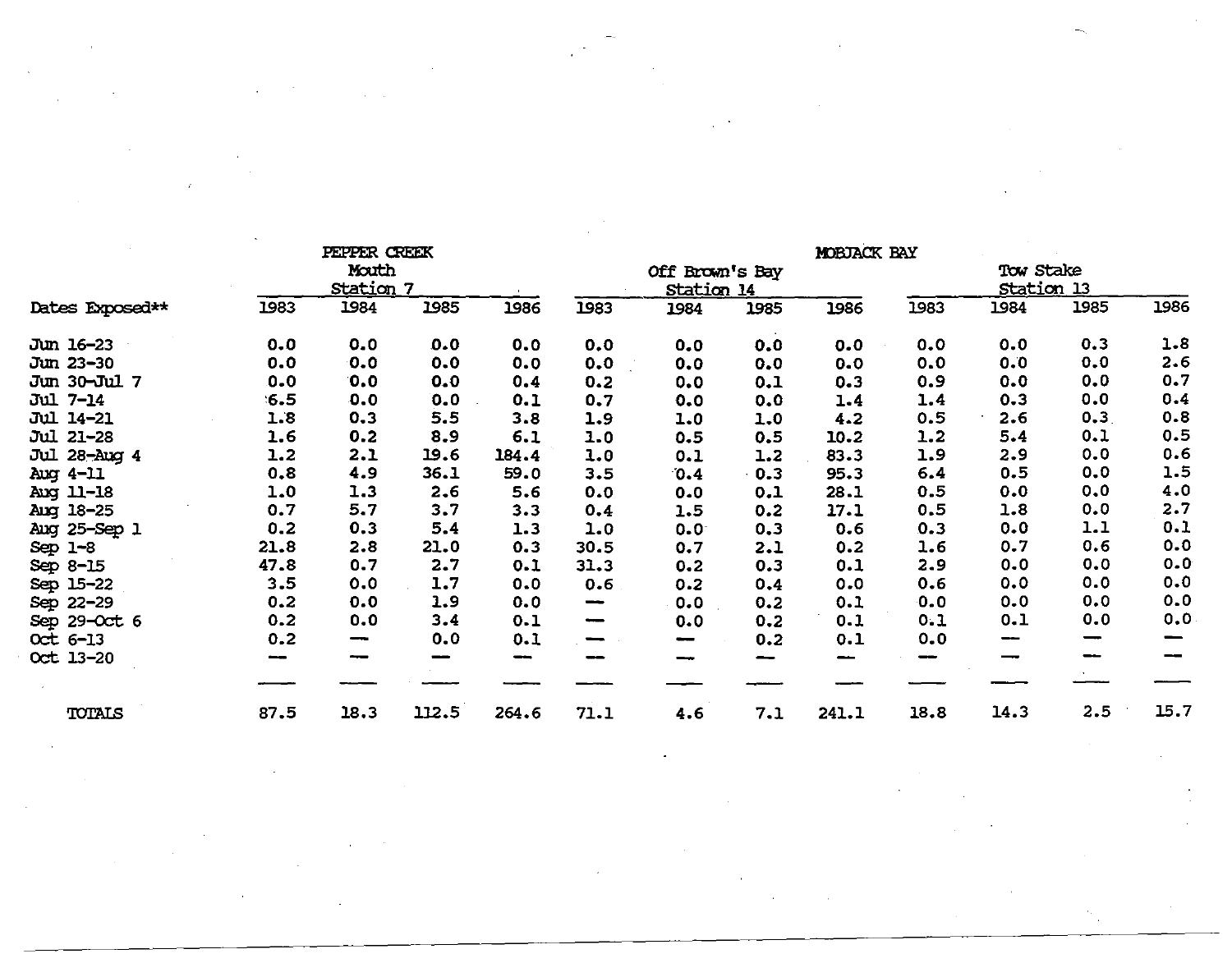|                  |      | PEPPER CREEK             |                          |       |                              |                 |      | <b>MOBJACK BAY</b> |      |                   |         |      |
|------------------|------|--------------------------|--------------------------|-------|------------------------------|-----------------|------|--------------------|------|-------------------|---------|------|
|                  |      | Mouth                    |                          |       |                              | Off Brown's Bay |      |                    |      | Tow Stake         |         |      |
|                  |      | <b>Station 7</b>         |                          |       |                              | Station 14      |      |                    |      | <b>Station 13</b> |         |      |
| Dates Exposed**  | 1983 | 1984                     | 1985                     | 1986  | 1983                         | 1984            | 1985 | 1986               | 1983 | 1984              | 1985    | 1986 |
| Jun 16-23        | 0.0  | 0.0                      | 0.0                      | 0.0   | 0.0                          | 0.0             | 0.0  | 0.0                | 0.0  | 0.0               | 0.3     | 1.8  |
| Jun 23-30        | 0.0  | 0.0                      | 0.0                      | 0.0   | 0.0                          | 0.0             | 0.0  | 0.0                | 0.0  | 0.0               | 0.0     | 2.6  |
| Jun 30-Jul 7     | 0.0  | 0.0                      | 0.0                      | 0.4   | 0.2                          | 0.0             | 0.1  | 0.3                | 0.9  | 0.0               | 0.0     | 0.7  |
| Jul 7-14         | 6.5  | 0.0                      | 0.0                      | 0.1   | 0.7                          | 0.0             | 0.0  | 1.4                | 1.4  | 0.3               | 0.0     | 0.4  |
| <b>Jul 14-21</b> | 1.8  | 0.3                      | 5.5                      | 3.8   | 1.9                          | 1.0             | 1.0  | 4.2                | 0.5  | 2.6               | $0.3$ . | 0.8  |
| Jul 21-28        | 1.6  | 0.2                      | 8.9                      | 6.1   | 1.0                          | 0.5             | 0.5  | 10.2               | 1.2  | 5.4               | 0.1     | 0.5  |
| Jul 28-Aug 4     | 1.2  | 2.1                      | 19.6                     | 184.4 | 1.0                          | 0.1             | 1.2  | 83.3               | 1.9  | 2.9               | 0.0     | 0.6  |
| $Aug 4-11$       | 0.8  | 4.9                      | 36.1                     | 59.0  | 3.5                          | 0.4             | 0.3  | 95.3               | 6.4  | 0.5               | 0.0     | 1.5  |
| Aug 11-18        | 1.0  | 1.3                      | 2.6                      | 5.6   | 0.0                          | 0.0             | 0.1  | 28.1               | 0.5  | 0.0               | 0.0     | 4.0  |
| Aug 18-25        | 0.7  | 5.7                      | 3.7                      | 3.3   | 0.4                          | 1.5             | 0.2  | 17.1               | 0.5  | 1.8               | 0.0     | 2.7  |
| Aug 25-Sep 1     | 0.2  | 0.3                      | 5.4                      | 1.3   | 1.0                          | $0.0 -$         | 0.3  | 0.6                | 0.3  | 0.0               | 1.1     | 0.1  |
| Sep $1-8$        | 21.8 | 2.8                      | 21.0                     | 0.3   | 30.5                         | 0.7             | 2.1  | 0.2                | 1.6  | 0.7               | 0.6     | 0.0  |
| Sep 8-15         | 47.8 | 0.7                      | 2.7                      | 0.1   | 31.3                         | 0.2             | 0.3  | 0.1                | 2.9  | 0.0               | 0.0     | 0.0  |
| Sep 15-22        | 3.5  | 0.0                      | 1.7                      | 0.0   | 0.6                          | 0.2             | 0.4  | 0.0                | 0.6  | 0.0               | 0.0     | 0.0  |
| Sep 22-29        | 0.2  | 0.0                      | 1.9                      | 0.0   | $\qquad \qquad \blacksquare$ | 0.0             | 0.2  | 0.1                | 0.0  | 0.0               | 0.0     | 0.0  |
| Sep 29-Oct 6     | 0.2  | 0.0                      | 3.4                      | 0.1   | $\overline{\phantom{m}}$     | 0.0             | 0.2  | 0.1                | 0.1  | 0.1               | 0.0     | 0.0  |
| Oct 6-13         | 0.2  | $\overline{\phantom{m}}$ | 0.0                      | 0.1   | $\overline{\phantom{0}}$     | --              | 0.2  | 0.1                | 0.0  | --                |         |      |
| Oct 13-20        |      | --                       | $\overline{\phantom{a}}$ | --    |                              | ╾               |      | --                 |      |                   | --      | --   |
|                  |      |                          |                          |       |                              |                 |      |                    |      |                   |         |      |
| TOTALS           | 87.5 | 18.3                     | 112.5                    | 264.6 | 71.1                         | 4.6             | 7.1  | 241.1              | 18.8 | 14.3              | 2.5     | 15.7 |

 $\mathcal{L}^{\text{max}}_{\text{max}}$ 

 $\mathcal{L}(\mathcal{F})$ 

 $\label{eq:2.1} \frac{1}{\sqrt{2}}\left(\frac{1}{\sqrt{2}}\right)^{2} \left(\frac{1}{\sqrt{2}}\right)^{2} \left(\frac{1}{\sqrt{2}}\right)^{2} \left(\frac{1}{\sqrt{2}}\right)^{2} \left(\frac{1}{\sqrt{2}}\right)^{2} \left(\frac{1}{\sqrt{2}}\right)^{2} \left(\frac{1}{\sqrt{2}}\right)^{2} \left(\frac{1}{\sqrt{2}}\right)^{2} \left(\frac{1}{\sqrt{2}}\right)^{2} \left(\frac{1}{\sqrt{2}}\right)^{2} \left(\frac{1}{\sqrt{2}}\right)^{2} \left(\$ 

 $\label{eq:2.1} \frac{1}{\sqrt{2}}\int_{0}^{\infty}\frac{d\mu}{\lambda} \left(\frac{d\mu}{\lambda} \right)^2 \left(\frac{d\mu}{\lambda} \right)^2 \left(\frac{d\mu}{\lambda} \right)^2 \left(\frac{d\mu}{\lambda} \right)^2 \left(\frac{d\mu}{\lambda} \right)^2 \left(\frac{d\mu}{\lambda} \right)^2 \left(\frac{d\mu}{\lambda} \right)^2 \left(\frac{d\mu}{\lambda} \right)^2 \left(\frac{d\mu}{\lambda} \right)^2 \left(\frac{d\mu}{\lambda} \right)^2 \left(\frac{d\mu}{\lambda} \right)^2 \left(\frac{d$ 

 $\label{eq:2.1} \frac{1}{2} \sum_{i=1}^n \frac{1}{2} \sum_{i=1}^n \frac{1}{2} \sum_{i=1}^n \frac{1}{2} \sum_{i=1}^n \frac{1}{2} \sum_{i=1}^n \frac{1}{2} \sum_{i=1}^n \frac{1}{2} \sum_{i=1}^n \frac{1}{2} \sum_{i=1}^n \frac{1}{2} \sum_{i=1}^n \frac{1}{2} \sum_{i=1}^n \frac{1}{2} \sum_{i=1}^n \frac{1}{2} \sum_{i=1}^n \frac{1}{2} \sum_{i=1}^n \frac{$ 

 $\hat{R}_{\rm eff}$  and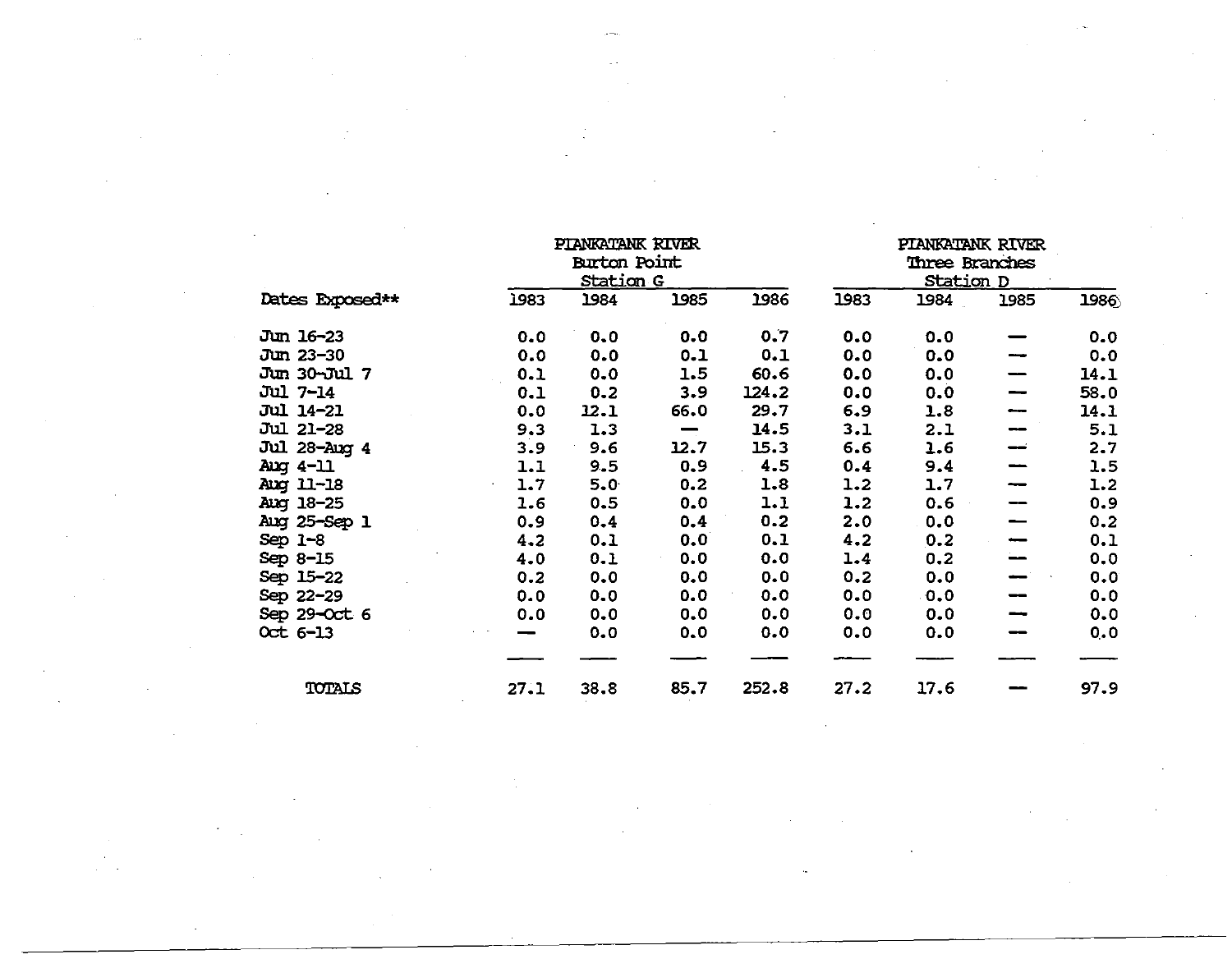|                  |      | PIANKATANK RIVER<br><b>Burton Point</b><br><b>Station G</b> |      |       |      | PIANKATANK RIVER<br>Three Branches<br><u>Station D</u> |      |      |
|------------------|------|-------------------------------------------------------------|------|-------|------|--------------------------------------------------------|------|------|
| Dates Exposed**  | 1983 | 1984                                                        | 1985 | 1986  | 1983 | 1984                                                   | 1985 | 1986 |
| Jun 16-23        | 0.0  | 0.0                                                         | 0.0  | 0.7   | 0.0  | 0.0                                                    |      | 0.0  |
| Jun 23-30        | 0.0  | 0.0                                                         | 0.1  | 0.1   | 0.0  | 0.0                                                    |      | 0.0  |
| Jun 30-Jul 7     | 0.1  | 0.0                                                         | 1.5  | 60.6  | 0.0  | 0.0                                                    | —    | 14.1 |
| <b>Jul 7-14</b>  | 0.1  | 0.2                                                         | 3.9  | 124.2 | 0.0  | 0.0                                                    | --   | 58.0 |
| <b>Jul 14-21</b> | 0.0  | 12.1                                                        | 66.0 | 29.7  | 6.9  | 1.8                                                    | --   | 14.1 |
| <b>Jul 21-28</b> | 9.3  | 1.3                                                         | —    | 14.5  | 3.1  | 2.1                                                    |      | 5.1  |
| Jul 28-Aug 4     | 3.9  | 9.6                                                         | 12.7 | 15.3  | 6.6  | 1.6                                                    | --   | 2.7  |
| Aug 4-11         | 1.1  | 9.5                                                         | 0.9  | 4.5   | 0.4  | 9.4                                                    |      | 1.5  |
| Aug 11-18        | 1.7  | 5.0                                                         | 0.2  | 1.8   | 1.2  | 1.7                                                    |      | 1.2  |
| Aug 18-25        | 1.6  | 0.5                                                         | 0.0  | 1.1   | 1.2  | 0.6                                                    |      | 0.9  |
| Aug 25-Sep 1     | 0.9  | 0.4                                                         | 0.4  | 0.2   | 2.0  | 0.0                                                    |      | 0.2  |
| Sep $1 - 8$      | 4.2  | 0.1                                                         | 0.0  | 0.1   | 4.2  | 0.2                                                    |      | 0.1  |
| Sep 8-15         | 4.0  | 0.1                                                         | 0.0  | 0.0   | 1.4  | 0.2                                                    |      | 0.0  |
| Sep 15-22        | 0.2  | 0.0                                                         | 0.0  | 0.0   | 0.2  | 0.0                                                    |      | 0.0  |
| Sep 22-29        | 0.0  | 0.0                                                         | 0.0  | 0.0   | 0.0  | 0.0                                                    |      | 0.0  |
| Sep 29-Oct 6     | 0.0  | 0.0                                                         | 0.0  | 0.0   | 0.0  | 0.0                                                    | --   | 0.0  |
| $Oct 6-13$       |      | 0.0                                                         | 0.0  | 0.0   | 0.0  | 0.0                                                    |      | 0.0  |
|                  |      |                                                             |      |       |      |                                                        |      |      |
| TOTALS           | 27.1 | 38.8                                                        | 85.7 | 252.8 | 27.2 | 17.6                                                   |      | 97.9 |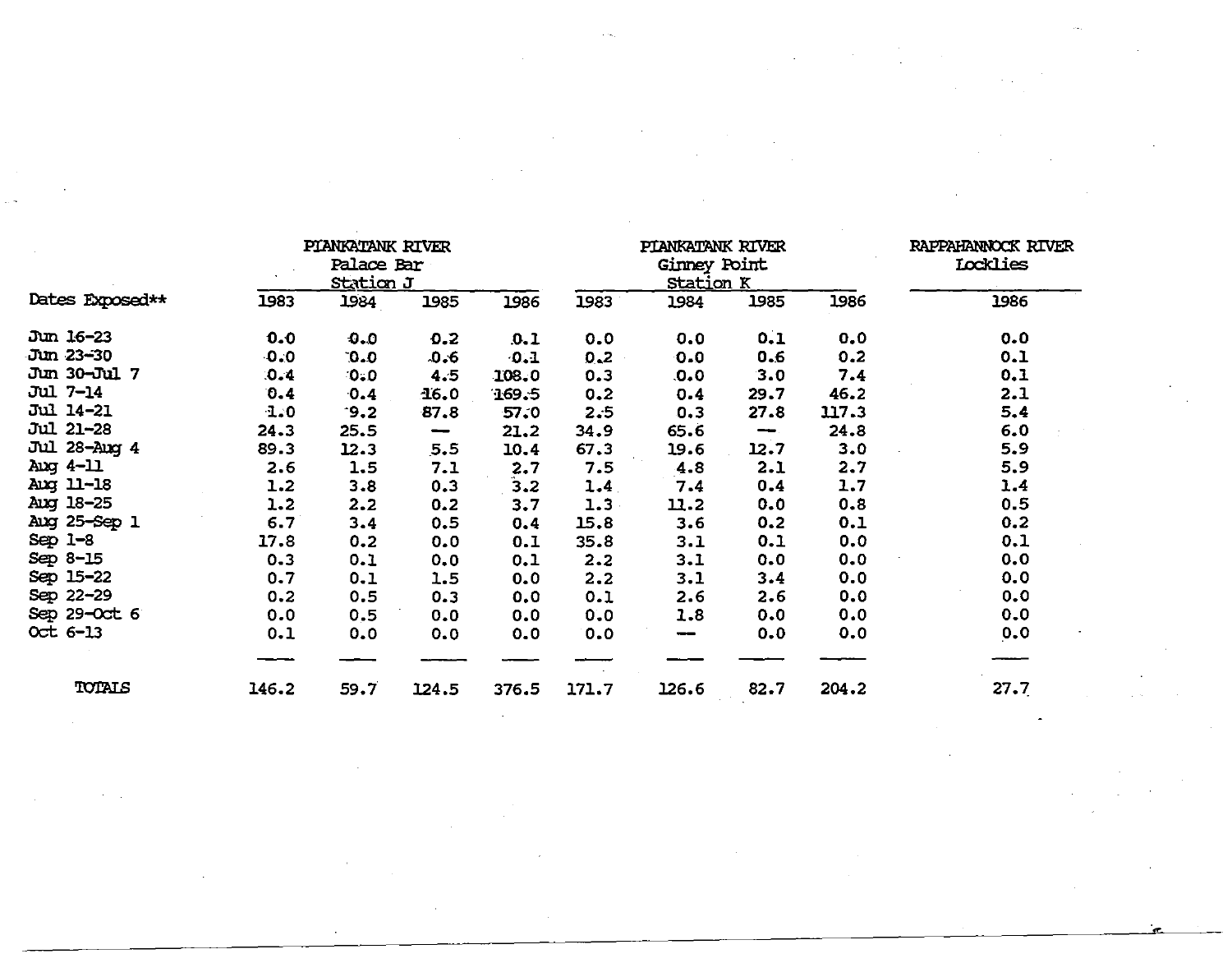|                  |         | PIANKATANK RIVER<br>Palace Bar<br><u>Station J</u> |       |       |       | PIANKATANK RIVER<br>Ginney Point<br><u>Station K</u> |                          |       | RAPPAHANNOCK RIVER<br><b>Locklies</b> |
|------------------|---------|----------------------------------------------------|-------|-------|-------|------------------------------------------------------|--------------------------|-------|---------------------------------------|
| Dates Exposed**  | 1983    | 1984                                               | 1985  | 1986  | 1983  | 1984                                                 | 1985                     | 1986  | 1986                                  |
| Jun 16-23        | 0.0     | 0.0                                                | 0.2   | .0.1  | 0.0   | 0.0                                                  | 0.1                      | 0.0   | 0.0                                   |
| Jun 23–30        | 0.0     | 0.0                                                | 0.6   | 0.1   | 0.2   | 0.0                                                  | 0.6                      | 0.2   | 0.1                                   |
| Jun 30-Jul 7     | 0.4     | <b>:0:0</b>                                        | 4.5   | 108.0 | 0.3   | .0.0                                                 | 3.0                      | 7.4   | 0.1                                   |
| <b>Jul 7-14</b>  | 0.4     | 0.4                                                | 16.0  | 169.5 | 0.2   | 0.4                                                  | 29.7                     | 46.2  | 2.1                                   |
| <b>Jul 14-21</b> | 1.0     | $-9.2$                                             | 87.8  | 57.0  | 2:5   | 0.3                                                  | 27.8                     | 117.3 | 5.4                                   |
| Jul 21-28        | 24.3    | 25.5                                               | —     | 21.2  | 34.9  | 65.6                                                 | $\overline{\phantom{m}}$ | 24.8  | 6.0                                   |
| Jul 28-Aug 4     | 89.3    | 12.3                                               | 5.5   | 10.4  | 67.3  | 19.6                                                 | 12.7                     | 3.0   | 5.9                                   |
| Aug 4-11         | 2.6     | 1.5                                                | 7.1   | 2.7   | 7.5   | 4.8                                                  | 2.1                      | 2.7   | 5.9                                   |
| Aug 11-18        | 1.2     | 3.8                                                | 0.3   | 3.2   | 1.4   | 7.4                                                  | 0.4                      | 1.7   | 1.4                                   |
| Aug 18-25        | 1.2     | 2.2                                                | 0.2   | 3.7   | 1.3   | 11.2                                                 | 0.0                      | 0.8   | 0.5                                   |
| Aug 25-Sep 1     | 6.7     | 3.4                                                | 0.5   | 0.4   | 15.8  | 3.6                                                  | 0.2                      | 0.1   | 0.2                                   |
| Sep 1-8          | 17.8    | 0.2                                                | 0.0   | 0.1   | 35.8  | 3.1                                                  | 0.1                      | 0.0   | 0.1                                   |
| Sep 8-15         | $0 - 3$ | 0.1                                                | 0.0   | 0.1   | 2.2   | 3.1                                                  | 0.0                      | 0.0   | 0.0                                   |
| Sep 15-22        | 0.7     | 0.1                                                | 1.5   | 0.0   | 2.2   | 3.1                                                  | 3.4                      | 0.0   | 0.0                                   |
| Sep 22-29        | 0.2     | 0.5                                                | 0.3   | 0.0   | 0.1   | 2.6                                                  | 2.6                      | 0.0   | 0.0                                   |
| Sep 29-Oct 6     | 0.0     | 0.5                                                | 0.0   | 0.0   | 0.0   | 1.8                                                  | 0.0                      | 0.0   | 0.0                                   |
| Oct 6-13         | 0.1     | 0.0                                                | 0.0   | 0.0   | 0.0   |                                                      | 0.0                      | 0.0   | 0.0                                   |
|                  |         |                                                    |       |       |       |                                                      |                          |       |                                       |
| TOTALS           | 146.2   | 59.7                                               | 124.5 | 376.5 | 171.7 | 126.6                                                | 82.7                     | 204.2 | 27.7                                  |

a de la construcción de la construcción de la construcción de la construcción de la construcción de la constru<br>En la construcción de la construcción de la construcción de la construcción de la construcción de la construcc

 $\mathcal{L}(\mathcal{L}(\mathcal{L}))$  and  $\mathcal{L}(\mathcal{L}(\mathcal{L}))$  . The contribution of  $\mathcal{L}(\mathcal{L})$ 

 $\mathcal{L}(\mathcal{A})$  .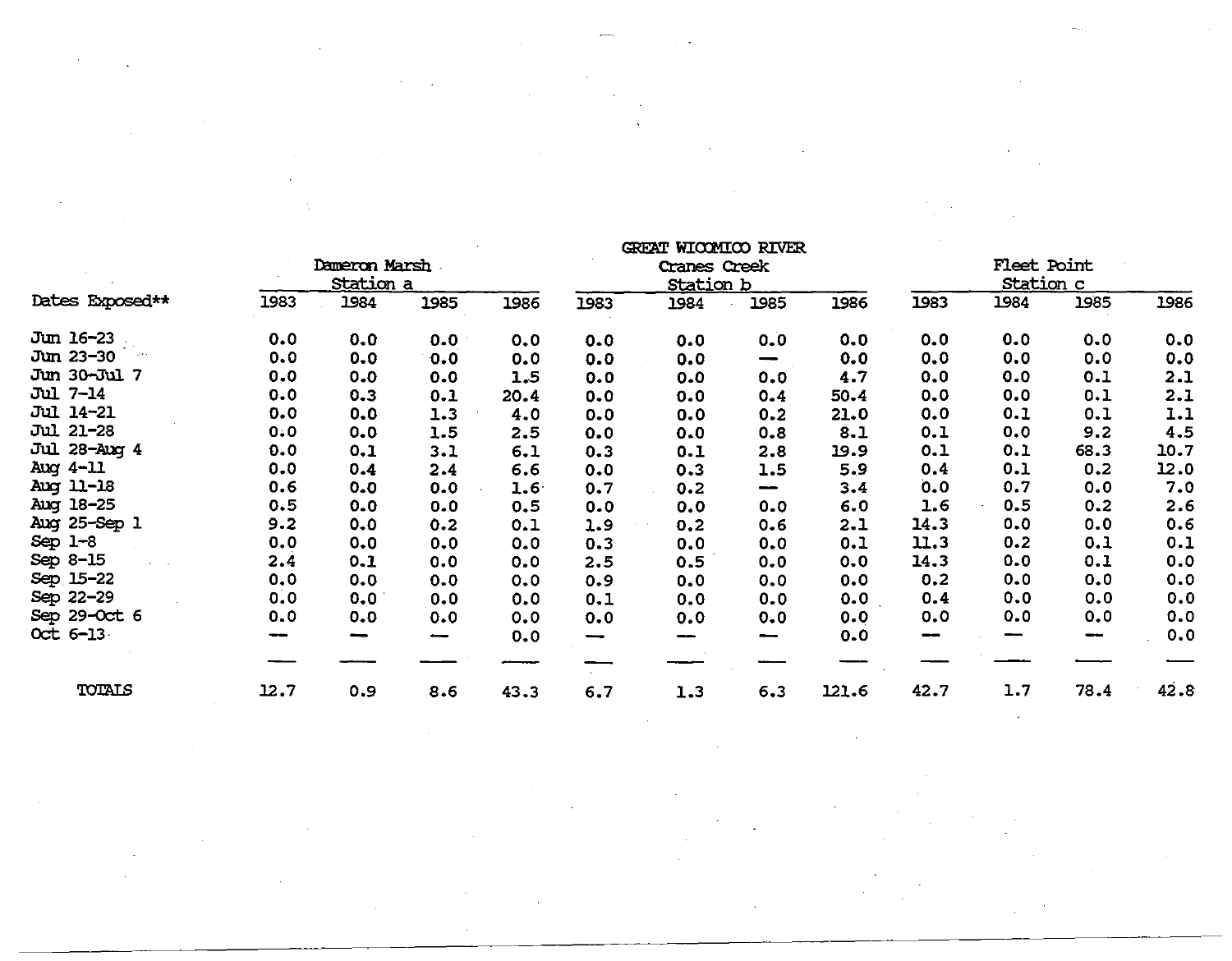|                  | Dameron Marsh<br>Station a |      |      |      | GREET MICHATICO KIVEK<br>Cranes Creek<br><b>Station b</b> |      |                                 |       | <b>Fleet Point</b><br><b>Station c</b> |      |      |      |
|------------------|----------------------------|------|------|------|-----------------------------------------------------------|------|---------------------------------|-------|----------------------------------------|------|------|------|
| Dates Exposed**  | 1983                       | 1984 | 1985 | 1986 | 1983                                                      | 1984 | 1985                            | 1986  | 1983                                   | 1984 | 1985 | 1986 |
| Jun 16-23        | 0.0                        | 0.0  | 0.0  | 0.0  | 0.0                                                       | 0.0  | 0.0                             | 0.0   | 0.0                                    | 0.0  | 0.0  | 0.0  |
| Jun 23-30        | 0.0                        | 0.0  | 0.0  | 0.0  | 0.0                                                       | 0.0  | $\overline{\phantom{m}}$        | 0.0   | 0.0                                    | 0.0  | 0.0  | 0.0  |
| Jun 30-Jul 7     | 0.0                        | 0.0  | 0.0  | 1.5  | 0.0                                                       | 0.0  | 0.0                             | 4.7   | 0.0                                    | 0.0  | 0.1  | 2.1  |
| Jul 7-14         | 0.0                        | 0.3  | 0.1  | 20.4 | 0.0                                                       | 0.0  | 0.4                             | 50.4  | 0.0                                    | 0.0  | 0.1  | 2.1  |
| <b>Jul 14-21</b> | 0.0                        | 0.0  | 1.3  | 4.0  | 0.0                                                       | 0.0  | 0.2                             | 21.0  | 0.0                                    | 0.1  | 0.1  | 1.1  |
| Jul 21-28        | 0.0                        | 0.0  | 1.5  | 2.5  | 0.0                                                       | 0.0  | 0.8                             | 8.1   | 0.1                                    | 0.0  | 9.2  | 4.5  |
| Jul 28-Aug 4     | 0.0                        | 0.1  | 3.1  | 6.1  | 0.3                                                       | 0.1  | 2.8                             | 19.9  | 0.1                                    | 0.1  | 68.3 | 10.7 |
| Aug 4-11         | 0.0                        | 0.4  | 2.4  | 6.6  | 0.0                                                       | 0.3  | 1.5                             | 5.9   | 0.4                                    | 0.1  | 0.2  | 12.0 |
| Aug 11-18        | 0.6                        | 0.0  | 0.0  | 1.6  | 0.7                                                       | 0.2  | $\overline{\phantom{0}}$        | 3.4   | 0.0                                    | 0.7  | 0.0  | 7.0  |
| Aug 18-25        | 0.5                        | 0.0  | 0.0  | 0.5  | 0.0                                                       | 0.0  | 0.0                             | 6.0   | 1.6                                    | 0.5  | 0.2  | 2.6  |
| Aug 25-Sep 1     | 9.2                        | 0.0  | 0.2  | 0.1  | 1.9                                                       | 0.2  | 0.6                             | 2.1   | 14.3                                   | 0.0  | 0.0  | 0.6  |
| Sep $1-8$        | 0.0                        | 0.0  | 0.0  | 0.0  | 0.3                                                       | 0.0  | 0.0                             | 0.1   | 11.3                                   | 0.2  | 0.1  | 0.1  |
| Sep 8-15         | 2.4                        | 0.1  | 0.0  | 0.0  | 2.5                                                       | 0.5  | 0.0                             | 0.0   | 14.3                                   | 0.0  | 0.1  | 0.0  |
| Sep. 15-22       | 0.0                        | 0.0  | 0.0  | 0.0  | 0.9                                                       | 0.0  | 0.0                             | 0.0   | 0.2                                    | 0.0  | 0.0  | 0.0  |
| Sep 22-29        | 0.0                        | 0.0  | 0.0  | 0.0  | 0.1                                                       | 0.0  | 0.0                             | 0.0   | 0.4                                    | 0.0  | 0.0  | 0.0  |
| Sep 29-Oct 6     | 0.0                        | 0.0  | 0.0  | 0.0  | 0.0                                                       | 0.0  | 0.0                             | 0.0   | 0.0                                    | 0.0  | 0.0  | 0.0  |
| Oct 6-13         |                            | --   | -    | 0.0  | --                                                        |      | $\qquad \qquad \longrightarrow$ | 0.0   | --                                     |      | --   | 0.0  |
|                  |                            |      |      |      |                                                           |      |                                 |       |                                        |      |      |      |
| TOTALS           | 12.7                       | 0.9  | 8.6  | 43.3 | 6.7                                                       | 1.3  | 6.3                             | 121.6 | 42.7                                   | 1.7  | 78.4 | 42.8 |

 $\mathbf{u}$ g treated rivers  $\mathbf{u}$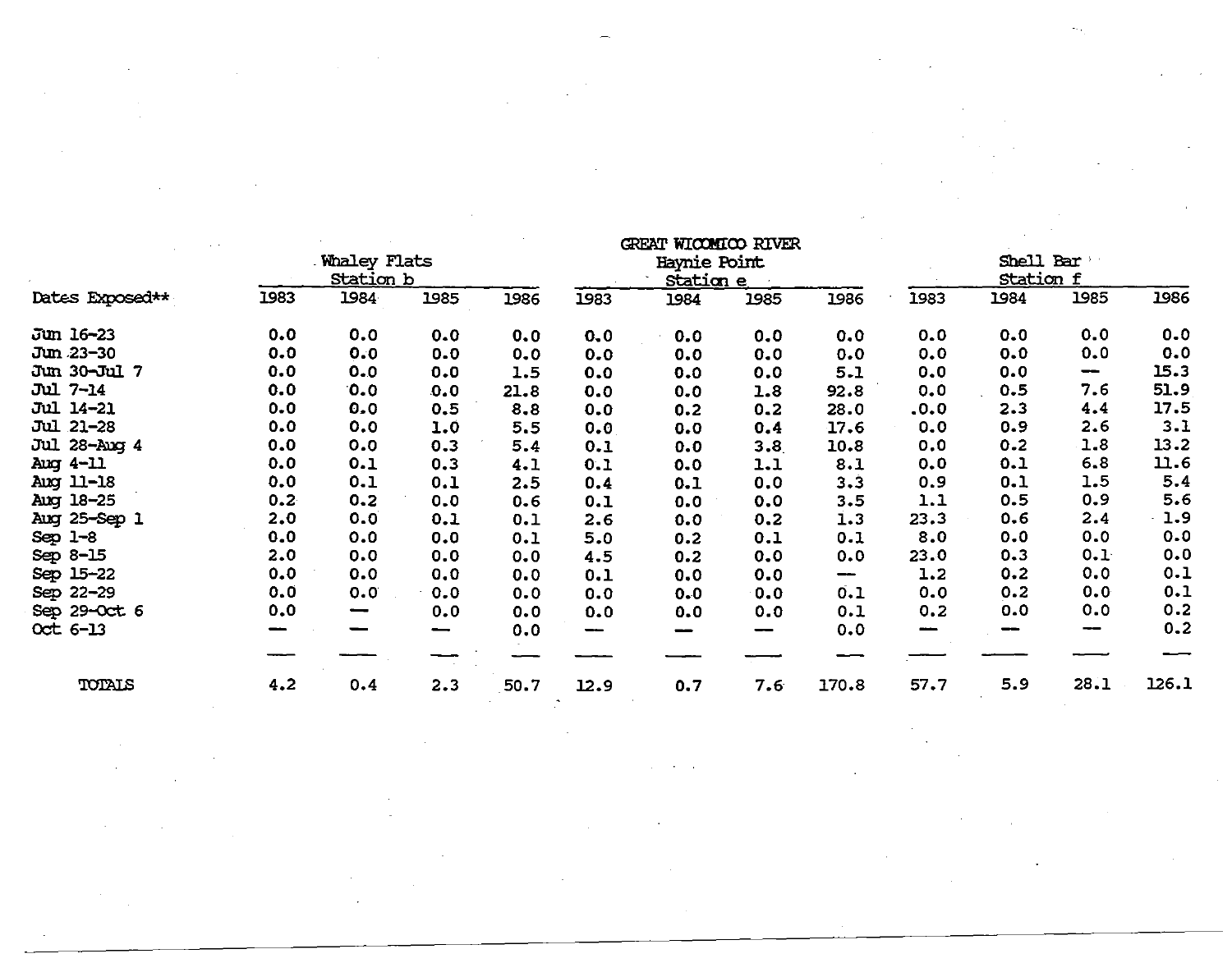|                  |      |                                         |      |      |      | GREAT WICOMICO RIVER             |      |       |      |                        |                  |       |
|------------------|------|-----------------------------------------|------|------|------|----------------------------------|------|-------|------|------------------------|------------------|-------|
|                  |      | <b>Whaley Flats</b><br><u>Station b</u> |      |      |      | Haynie Point<br><u>Station e</u> |      |       |      | Shell Bar<br>Station f |                  |       |
| Dates Exposed**  | 1983 | 1984                                    | 1985 | 1986 | 1983 | 1984                             | 1985 | 1986  | 1983 | 1984                   | 1985             | 1986  |
| Jun 16-23        | 0.0  | 0.0                                     | 0.0  | 0.0  | 0.0  | 0.0                              | 0.0  | 0.0   | 0.0  | 0.0                    | 0.0              | 0.0   |
| Jun 23-30        | 0.0  | 0.0                                     | 0.0  | 0.0  | 0.0  | 0.0                              | 0.0  | 0.0   | 0.0  | 0.0                    | 0.0              | 0.0   |
| Jun 30-Jul 7     | 0.0  | 0.0                                     | 0.0  | 1.5  | 0.0  | 0.0                              | 0, 0 | 5.1   | 0.0  | 0.0                    | $\hspace{0.5cm}$ | 15.3  |
| Jul 7-14         | 0.0  | 0.0                                     | 0.0  | 21.8 | 0.0  | 0.0                              | 1.8  | 92.8  | 0.0  | 0.5                    | 7.6              | 51.9  |
| <b>Jul 14-21</b> | 0.0  | 0.0                                     | 0.5  | 8.8  | 0.0  | 0.2                              | 0.2  | 28.0  | .0.0 | 2.3                    | 4.4              | 17.5  |
| Jul 21-28        | 0.0  | 0.0                                     | 1.0  | 5.5  | 0.0  | 0.0                              | 0.4  | 17.6  | 0.0  | 0.9                    | 2.6              | 3.1   |
| Jul 28-Aug 4     | 0.0  | 0.0                                     | 0.3  | 5.4  | 0.1  | 0.0                              | 3.8  | 10.8  | 0.0  | 0.2                    | 1.8              | 13.2  |
| Aug 4-11         | 0.0  | 0.1                                     | 0.3  | 4.1  | 0.1  | 0.0                              | 1.1  | 8.1   | 0.0  | 0.1                    | 6.8              | 11.6  |
| Aug 11-18        | 0.0  | 0.1                                     | 0.1  | 2.5  | 0.4  | 0.1                              | 0.0  | 3.3   | 0.9  | 0.1                    | 1.5              | 5.4   |
| Aug 18-25        | 0.2  | 0.2                                     | 0.0  | 0.6  | 0.1  | 0.0                              | 0.0  | 3.5   | 1.1  | 0.5                    | 0.9              | 5.6   |
| Aug 25-Sep 1     | 2.0  | 0.0                                     | 0.1  | 0.1  | 2.6  | 0.0                              | 0.2  | 1.3   | 23.3 | 0.6                    | 2.4              | 1.9   |
| $Sep$ $1-8$      | 0.0  | 0.0                                     | 0.0  | 0.1  | 5.0  | 0.2                              | 0.1  | 0.1   | 8.0  | 0.0                    | 0.0              | 0.0   |
| Sep 8-15         | 2.0  | 0.0                                     | 0.0  | 0.0  | 4.5  | 0.2                              | 0.0  | 0.0   | 23.0 | 0.3                    | 0.1              | 0.0   |
| Sep 15-22        | 0.0  | 0.0                                     | 0.0  | 0.0  | 0.1  | 0.0                              | 0.0  | --    | 1.2  | 0.2                    | 0.0              | 0.1   |
| Sep 22-29        | 0.0  | 0.0                                     | 0.0  | 0.0  | 0.0  | 0.0                              | 0.0  | 0.1   | 0.0  | 0.2                    | 0.0              | 0.1   |
| Sep 29-Oct 6     | 0.0  |                                         | 0.0  | 0.0  | 0.0  | 0.0                              | 0.0  | 0.1   | 0.2  | 0.0                    | 0.0              | 0.2   |
| $Oct 6-13$       |      |                                         | -    | 0.0  | --   | --                               |      | 0.0   |      |                        | ---              | 0.2   |
|                  |      |                                         |      |      |      |                                  |      |       |      |                        |                  |       |
| TOTALS           | 4.2  | 0.4                                     | 2.3  | 50.7 | 12.9 | 0.7                              | 7.6  | 170.8 | 57.7 | 5.9                    | 28.1             | 126.1 |

 $\label{eq:2.1} \begin{split} \mathcal{L}_{\text{max}}(\mathbf{r},\mathbf{r}) & = \mathcal{L}_{\text{max}}(\mathbf{r},\mathbf{r}) \mathcal{L}_{\text{max}}(\mathbf{r},\mathbf{r}) \\ & = \mathcal{L}_{\text{max}}(\mathbf{r},\mathbf{r}) \mathcal{L}_{\text{max}}(\mathbf{r},\mathbf{r}) \mathcal{L}_{\text{max}}(\mathbf{r},\mathbf{r}) \mathcal{L}_{\text{max}}(\mathbf{r},\mathbf{r}) \mathcal{L}_{\text{max}}(\mathbf{r},\mathbf{r}) \mathcal{L}_{\text{max}}(\mathbf{r},$ 

 $\label{eq:2.1} \frac{1}{2} \int_{\mathbb{R}^3} \frac{1}{\sqrt{2}} \left( \frac{1}{\sqrt{2}} \int_{\mathbb{R}^3} \frac{1}{\sqrt{2}} \left( \frac{1}{\sqrt{2}} \int_{\mathbb{R}^3} \frac{1}{\sqrt{2}} \int_{\mathbb{R}^3} \frac{1}{\sqrt{2}} \int_{\mathbb{R}^3} \frac{1}{\sqrt{2}} \int_{\mathbb{R}^3} \frac{1}{\sqrt{2}} \int_{\mathbb{R}^3} \frac{1}{\sqrt{2}} \int_{\mathbb{R}^3} \frac{1}{\sqrt{2}} \int$ 

 $\label{eq:2.1} \mathcal{L}=\mathcal{L}(\mathcal{L}^{\text{max}}_{\mathcal{L}}\mathcal{L}^{\text{max}}_{\mathcal{L}}\mathcal{L}^{\text{max}}_{\mathcal{L}}\mathcal{L}^{\text{max}}_{\mathcal{L}}).$ 

 $\mathcal{L}^{\text{max}}_{\text{max}}$  and  $\mathcal{L}^{\text{max}}_{\text{max}}$ 

 $\label{eq:2.1} \mathcal{L}(\mathcal{L}(\mathcal{L})) = \mathcal{L}(\mathcal{L}(\mathcal{L})) = \mathcal{L}(\mathcal{L}(\mathcal{L})) = \mathcal{L}(\mathcal{L}(\mathcal{L}))$ 

 $\hat{\boldsymbol{\epsilon}}$ 

 $\mathcal{L}^{\mathcal{L}}(\mathcal{L}^{\mathcal{L}})$  and  $\mathcal{L}^{\mathcal{L}}(\mathcal{L}^{\mathcal{L}})$  and  $\mathcal{L}^{\mathcal{L}}(\mathcal{L}^{\mathcal{L}})$ 

 $\label{eq:2.1} \mathcal{L}^{\text{max}}_{\text{max}}\left(\mathcal{L}^{\text{max}}_{\text{max}}\right) = \mathcal{L}^{\text{max}}_{\text{max}}\left(\mathcal{L}^{\text{max}}_{\text{max}}\right)$ 

 $\mathcal{L}^{\text{max}}_{\text{max}}$  ,  $\mathcal{L}^{\text{max}}_{\text{max}}$ 

 $\label{eq:2.1} \frac{1}{\sqrt{2\pi}}\int_{\mathbb{R}^3}\frac{1}{\sqrt{2\pi}}\int_{\mathbb{R}^3}\frac{1}{\sqrt{2\pi}}\int_{\mathbb{R}^3}\frac{1}{\sqrt{2\pi}}\int_{\mathbb{R}^3}\frac{1}{\sqrt{2\pi}}\frac{1}{\sqrt{2\pi}}\frac{1}{\sqrt{2\pi}}\frac{1}{\sqrt{2\pi}}\frac{1}{\sqrt{2\pi}}\frac{1}{\sqrt{2\pi}}\frac{1}{\sqrt{2\pi}}\frac{1}{\sqrt{2\pi}}\frac{1}{\sqrt{2\pi}}\frac{1}{\sqrt{2\pi$ 

 $\sim 10^{11}$  km s  $^{-1}$ 

 $\mathcal{L}^{\text{max}}_{\text{max}}$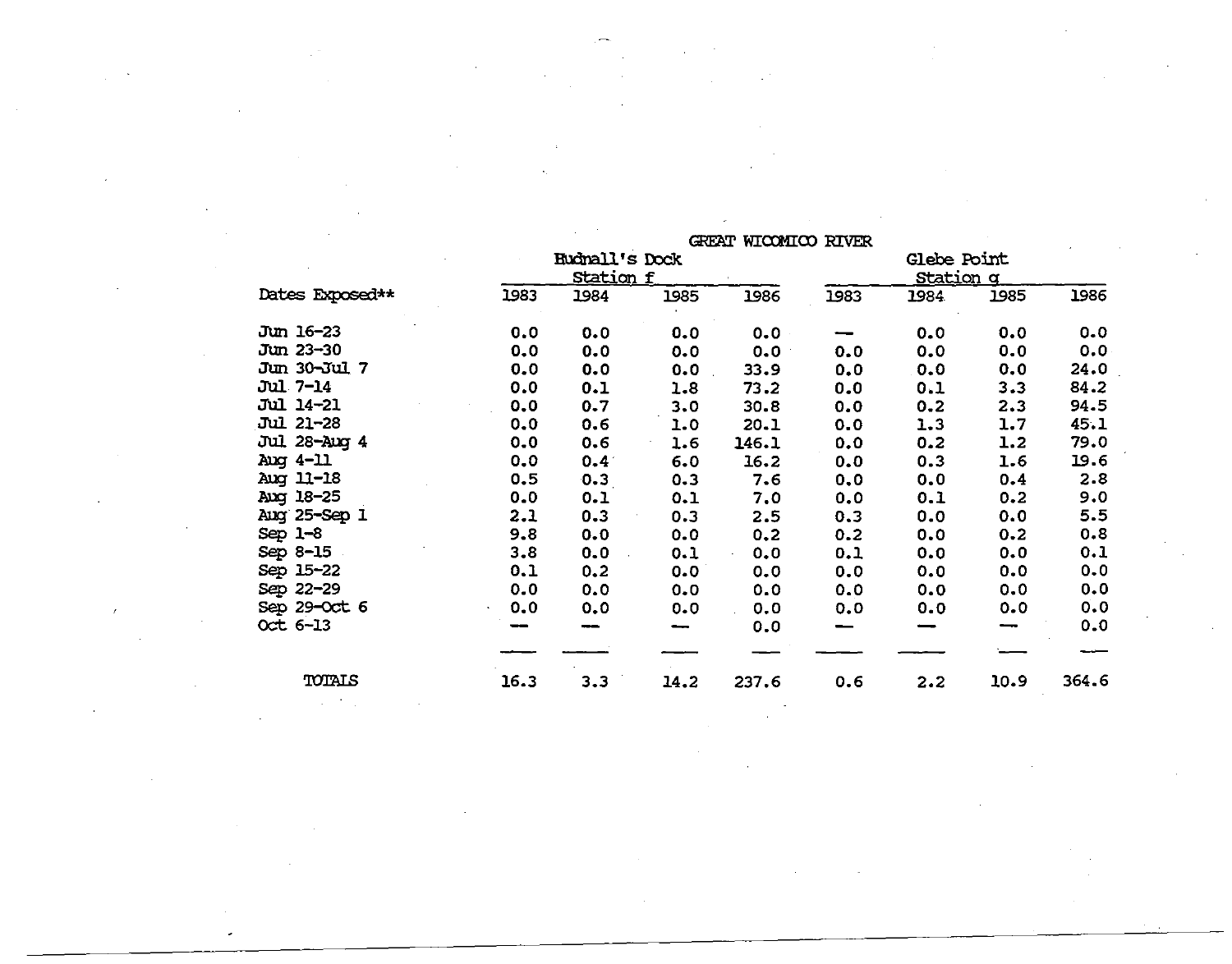|                  |      |                       |         | GREAT WICOMICO RIVER |      |                    |      |       |
|------------------|------|-----------------------|---------|----------------------|------|--------------------|------|-------|
|                  |      | <b>Eudnall's Dock</b> |         |                      |      | <b>Glebe Point</b> |      |       |
|                  |      | <u>Station f</u>      |         |                      |      | <u>Station q</u>   |      |       |
| Dates Exposed**  | 1983 | 1984                  | 1985    | 1986                 | 1983 | 1984               | 1985 | 1986  |
| Jun 16-23        | 0.0  | 0.0                   | 0.0     | 0.0                  |      | 0.0                | 0.0  | 0.0   |
| Jun 23-30        | 0.0  | 0.0                   | 0.0     | 0.0                  | 0.0  | 0.0                | 0.0  | 0.0   |
| Jun 30-Jul 7     | 0.0  | 0.0                   | 0.0     | 33.9                 | 0.0  | 0.0                | 0.0  | 24.0  |
| Jul 7-14         | 0.0  | 0.1                   | 1.8     | 73.2                 | 0.0  | 0.1                | 3.3  | 84.2  |
| <b>Jul 14-21</b> | 0.0  | 0.7                   | 3.0     | 30.8                 | 0.0  | 0.2                | 2.3  | 94.5  |
| <b>Jul 21-28</b> | 0.0  | 0.6                   | 1.0     | 20.1                 | 0.0  | 1.3                | 1.7  | 45.1  |
| Jul 28-Aug 4     | 0.0  | 0.6                   | 1.6     | 146.1                | 0.0  | 0.2                | 1.2  | 79.0  |
| Aug 4-11         | 0.0  | $0.4^{\circ}$         | 6.0     | 16.2                 | 0.0  | 0.3                | 1.6  | 19.6  |
| Aug 11-18        | 0.5  | 0.3                   | $0 - 3$ | 7.6                  | 0, 0 | 0.0                | 0.4  | 2.8   |
| Aug 18-25        | 0.0  | 0.1                   | 0.1     | 7.0                  | 0.0  | 0.1                | 0.2  | 9.0   |
| Aug 25-Sep 1     | 2.1  | 0.3                   | 0.3     | 2.5                  | 0.3  | 0.0                | 0.0  | 5.5   |
| $Sep 1-8$        | 9.8  | 0.0                   | 0.0     | 0.2                  | 0.2  | 0.0                | 0.2  | 0.8   |
| Sep 8-15         | 3.8  | 0.0                   | 0.1     | 0.0                  | 0.1  | 0.0                | 0.0  | 0.1   |
| Sep 15-22        | 0.1  | 0.2                   | 0.0     | 0.0                  | 0.0  | 0.0                | 0.0  | 0.0   |
| Sep 22-29        | 0.0  | 0.0                   | 0.0     | 0.0                  | 0.0  | 0.0                | 0.0  | 0.0   |
| Sep 29-Oct 6     | 0.0  | 0.0                   | 0.0     | 0.0                  | 0.0  | 0.0                | 0.0  | 0.0   |
| $Oct 6 - 13$     |      |                       |         | 0.0                  |      |                    |      | 0.0   |
|                  |      |                       |         |                      |      |                    |      |       |
| TOTALS           | 16.3 | 3.3                   | 14.2    | 237.6                | 0.6  | 2.2                | 10.9 | 364.6 |

 $\sim$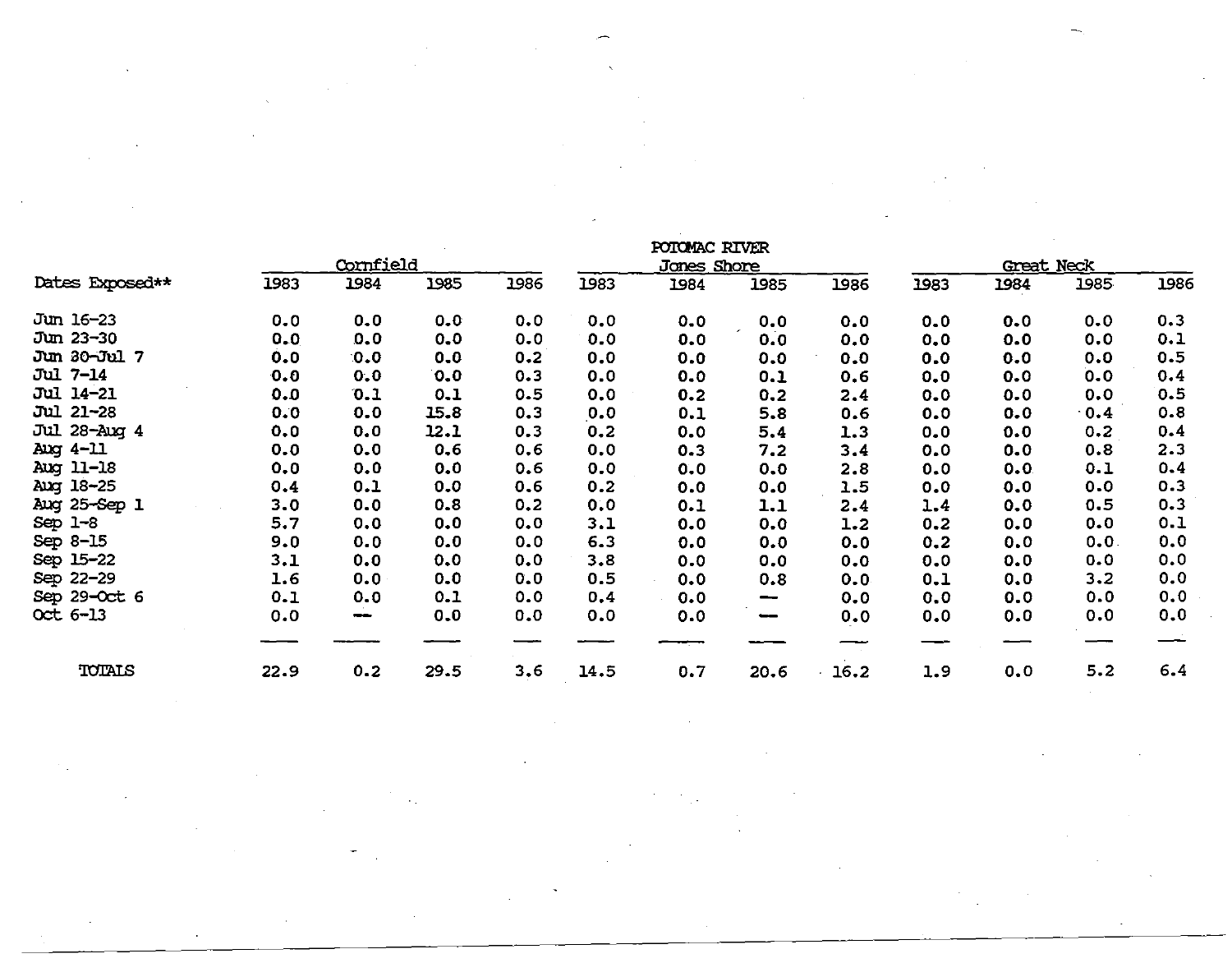|                  |      |           |      |      |      | POTOMAC RIVER |                                 |      |      |            |      |      |
|------------------|------|-----------|------|------|------|---------------|---------------------------------|------|------|------------|------|------|
|                  |      | Cornfield |      |      |      | Jones Shore   |                                 |      |      | Great Neck |      |      |
| Dates Exposed**  | 1983 | 1984      | 1985 | 1986 | 1983 | 1984          | 1985                            | 1986 | 1983 | 1984       | 1985 | 1986 |
| Jun 16-23        | 0.0  | 0.0       | 0.0  | 0.0  | 0.0  | 0.0           | 0.0                             | 0.0  | 0.0  | 0.0        | 0.0  | 0.3  |
| Jun 23-30        | 0.0  | 0.0       | 0.0  | 0.0  | 0.0  | 0.0           | $\overline{\phantom{a}}$<br>0.0 | 0.0  | 0.0  | 0.0        | 0.0  | 0.1  |
| Jun 30-Jul 7     | 0.0  | 0.0       | 0.0  | 0.2  | 0.0  | 0.0           | 0.0                             | 0.0  | 0.0  | 0.0        | 0.0  | 0.5  |
| Jul 7-14         | 0.0  | 0.0       | 0.0  | 0.3  | 0.0  | 0.0           | 0.1                             | 0.6  | 0.0  | 0.0        | 0.0  | 0.4  |
| Jul 14-21        | 0.0  | 0.1       | 0.1  | 0.5  | 0.0  | 0.2           | 0.2                             | 2.4  | 0.0  | 0.0        | 0.0  | 0.5  |
| <b>Jul 21-28</b> | 0.0  | 0.0       | 15.8 | 0.3  | 0.0  | 0.1           | 5.8                             | 0.6  | 0.0  | 0.0        | 0.4  | 0.8  |
| Jul 28-Aug 4     | 0.0  | 0.0       | 12.1 | 0.3  | 0.2  | 0.0           | 5.4                             | 1.3  | 0.0  | 0.0        | 0.2  | 0.4  |
| Aug $4-11$       | 0.0  | 0.0       | 0, 6 | 0.6  | 0.0  | 0.3           | 7.2                             | 3.4  | 0.0  | 0.0        | 0.8  | 2.3  |
| Aug 11-18        | 0.0  | 0.0       | 0.0  | 0.6  | 0.0  | 0.0           | 0.0                             | 2.8  | 0.0  | 0.0        | 0.1  | 0.4  |
| Aug 18-25        | 0.4  | 0.1       | 0.0  | 0.6  | 0.2  | 0.0           | 0.0                             | 1.5  | 0.0  | 0.0        | 0.0  | 0.3  |
| Aug 25-Sep 1     | 3.0  | 0.0       | 0.8  | 0.2  | 0.0  | 0.1           | 1.1                             | 2.4  | 1.4  | 0.0        | 0.5  | 0.3  |
| $Sep 1-8$        | 5.7  | 0.0       | 0.0  | 0.0  | 3.1  | 0.0           | 0.0                             | 1.2  | 0.2  | 0.0        | 0.0  | 0.1  |
| Sep 8-15         | 9.0  | 0.0       | 0.0  | 0.0  | 6.3  | 0.0           | 0.0                             | 0.0  | 0.2  | 0.0        | 0.0. | 0.0  |
| Sep 15-22        | 3.1  | 0.0       | 0.0  | 0.0  | 3.8  | 0.0           | 0.0                             | 0.0  | 0.0  | 0.0        | 0.0  | 0.0  |
| Sep 22-29        | 1.6  | 0.0       | 0.0  | 0.0  | 0.5  | 0.0           | 0.8                             | 0.0  | 0.1  | 0.0        | 3.2  | 0.0  |
| Sep 29-Oct 6     | 0.1  | 0.0       | 0.1  | 0.0  | 0,4  | 0.0           | $\hspace{0.5cm}$                | 0.0  | 0.0  | 0.0        | 0.0  | 0.0  |
| Oct 6-13         | 0.0  | --        | 0.0  | 0.0  | 0.0  | 0.0           | --                              | 0.0  | 0.0  | 0.0        | 0.0  | 0.0  |
|                  |      |           |      |      |      |               |                                 |      |      |            |      |      |
| TOTALS           | 22.9 | 0.2       | 29.5 | 3.6  | 14.5 | 0.7           | 20.6                            | 16.2 | 1.9  | 0.0        | 5.2  | 6.4  |

 $\sim$   $\sim$ 

 $\mathcal{L}^{\text{max}}_{\text{max}}$ 

 $\sim 10^{-11}$ 

 $\sim 10^{-1}$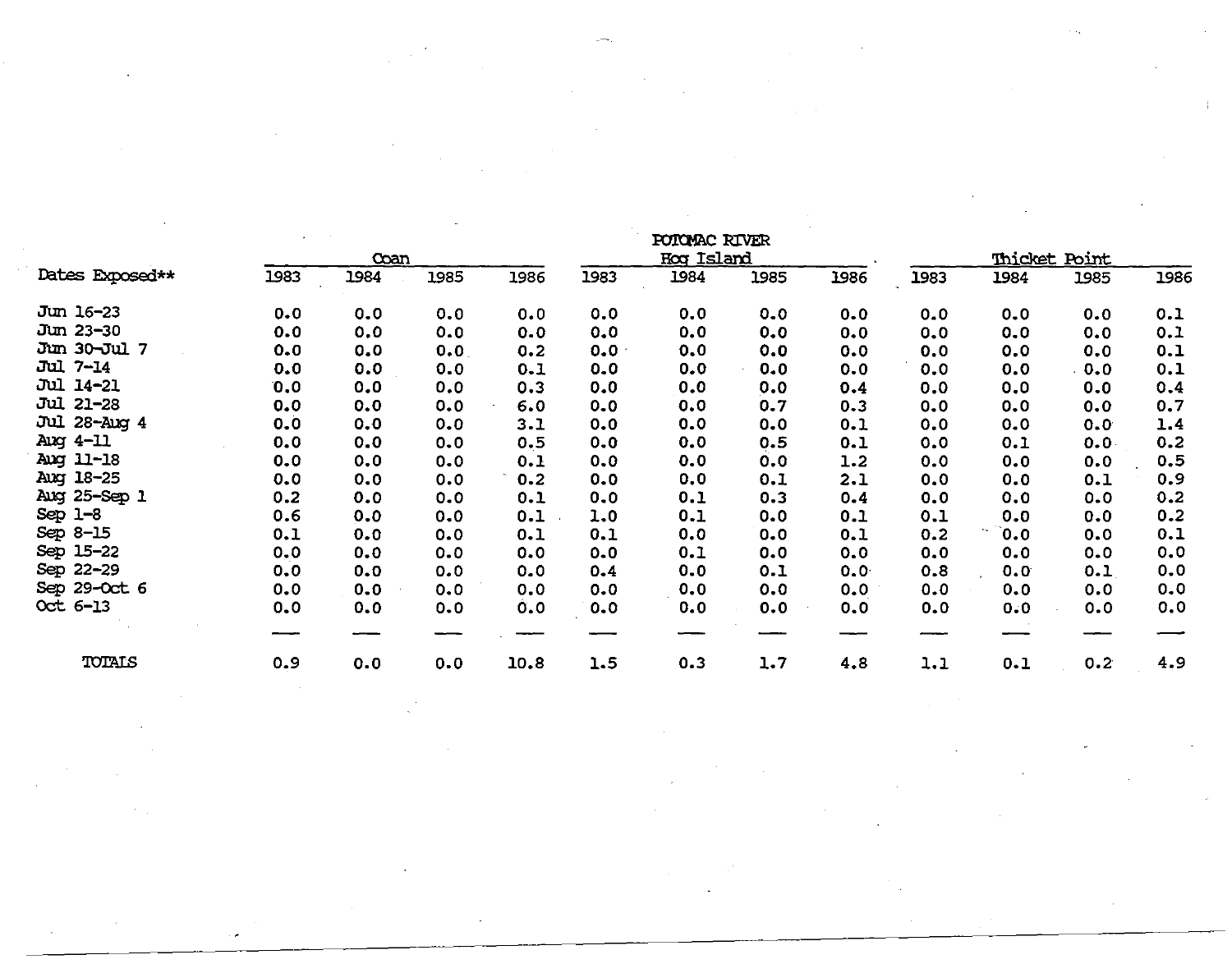|                  |      |      |      |      | POTOMAC RIVER |                   |      |      |      |                |                      |      |
|------------------|------|------|------|------|---------------|-------------------|------|------|------|----------------|----------------------|------|
|                  |      | Coan |      |      |               | <b>Hoq Island</b> |      |      |      |                | <b>Thicket Point</b> |      |
| Dates Exposed**  | 1983 | 1984 | 1985 | 1986 | 1983          | 1984              | 1985 | 1986 | 1983 | 1984           | 1985                 | 1986 |
| Jun 16-23        | 0.0  | 0.0  | 0.0  | 0.0  | 0.0           | 0.0               | 0.0  | 0.0  | 0.0  | 0.0            | 0.0                  | 0.1  |
| Jun 23-30        | 0.0  | 0.0  | 0.0  | 0.0  | 0.0           | 0.0               | 0.0  | 0.0  | 0.0  | 0.0            | 0.0                  | 0.1  |
| Jun 30-Jul 7     | 0.0  | 0.0  | 0.0  | 0.2  | 0.0           | 0.0               | 0.0  | 0.0  | 0.0  | 0.0            | 0.0                  | 0.1  |
| <b>Jul 7-14</b>  | 0.0  | 0.0  | 0.0  | 0.1  | 0.0           | 0.0               | 0.0  | 0.0  | 0.0  | 0.0            | 0.0                  | 0.1  |
| <b>Jul 14-21</b> | 0.0  | 0.0  | 0.0  | 0.3  | 0.0           | 0.0               | 0.0  | 0.4  | 0.0  | 0.0            | 0.0                  | 0.4  |
| Jul 21-28        | 0.0  | 0.0  | 0.0  | 6.0  | 0.0           | 0.0               | 0.7  | 0.3  | 0.0  | 0.0            | 0.0                  | 0.7  |
| Jul 28-Aug 4     | 0.0  | 0, 0 | 0.0  | 3.1  | 0.0           | 0.0               | 0.0  | 0.1  | 0.0  | 0.0            | 0.0                  | 1.4  |
| Ang $4-11$       | 0.0  | 0.0  | 0.0  | 0.5  | 0.0           | 0.0               | 0.5  | 0.1  | 0.0  | 0.1            | 0.0                  | 0.2  |
| Aug 11-18        | 0.0  | 0.0  | 0.0  | 0.1  | 0.0           | 0.0               | 0.0  | 1.2  | 0.0  | 0.0            | 0.0                  | 0.5  |
| Aug 18-25        | 0.0  | 0.0  | 0.0  | 0.2  | 0.0           | 0.0               | 0.1  | 2.1  | 0.0  | 0.0            | 0.1                  | 0.9  |
| Aug 25-Sep 1     | 0.2  | 0.0  | 0.0  | 0.1  | 0.0           | 0.1               | 0.3  | 0.4  | 0.0  | 0.0            | 0.0                  | 0.2  |
| Sep $1-8$        | 0.6  | 0.0  | 0.0  | 0.1  | 1.0           | 0.1               | 0.0  | 0.1  | 0.1  | 0.0            | 0.0                  | 0.2  |
| Sep 8-15         | 0.1  | 0.0  | 0.0  | 0.1  | 0.1           | 0.0               | 0.0  | 0.1  | 0.2  | $\mathbf{0.0}$ | 0.0                  | 0.1  |
| Sep 15-22        | 0.0  | 0.0  | 0.0  | 0.0  | 0.0           | 0.1               | 0.0  | 0.0  | 0.0  | 0.0            | 0.0                  | 0.0  |
| Sep 22-29        | 0.0  | 0.0  | 0.0  | 0.0  | 0.4           | 0.0               | 0.1  | 0.0  | 0.8  | 0.0            | 0.1                  | 0.0  |
| Sep 29-Oct 6     | 0.0  | 0.0  | 0.0  | 0.0  | 0.0           | 0.0               | 0.0  | 0.0  | 0.0  | 0.0            | 0.0                  | 0.0  |
| Oct 6-13         | 0.0  | 0.0  | 0.0  | 0.0  | 0.0           | 0.0               | 0.0  | 0.0  | 0.0  | 0.0            | 0.0                  | 0.0  |
|                  |      |      |      |      |               |                   |      |      |      |                |                      |      |
| TOTALS           | 0.9  | 0.0  | 0.0  | 10.8 | 1.5           | 0.3               | 1.7  | 4.8  | 1.1  | 0.1            | 0.2                  | 4.9  |

 $\label{eq:2.1} \mathcal{L}(\mathcal{L}^{\text{max}}_{\mathcal{L}}(\mathcal{L}^{\text{max}}_{\mathcal{L}})) \leq \mathcal{L}(\mathcal{L}^{\text{max}}_{\mathcal{L}}(\mathcal{L}^{\text{max}}_{\mathcal{L}}))$ 

 $\label{eq:2.1} \frac{1}{\sqrt{2}}\int_{0}^{\infty}\frac{1}{\sqrt{2\pi}}\left(\frac{1}{\sqrt{2\pi}}\right)^{2\alpha} \frac{1}{\sqrt{2\pi}}\int_{0}^{\infty}\frac{1}{\sqrt{2\pi}}\left(\frac{1}{\sqrt{2\pi}}\right)^{\alpha} \frac{1}{\sqrt{2\pi}}\frac{1}{\sqrt{2\pi}}\int_{0}^{\infty}\frac{1}{\sqrt{2\pi}}\frac{1}{\sqrt{2\pi}}\frac{1}{\sqrt{2\pi}}\frac{1}{\sqrt{2\pi}}\frac{1}{\sqrt{2\pi}}\frac{1}{\sqrt{2\pi}}$